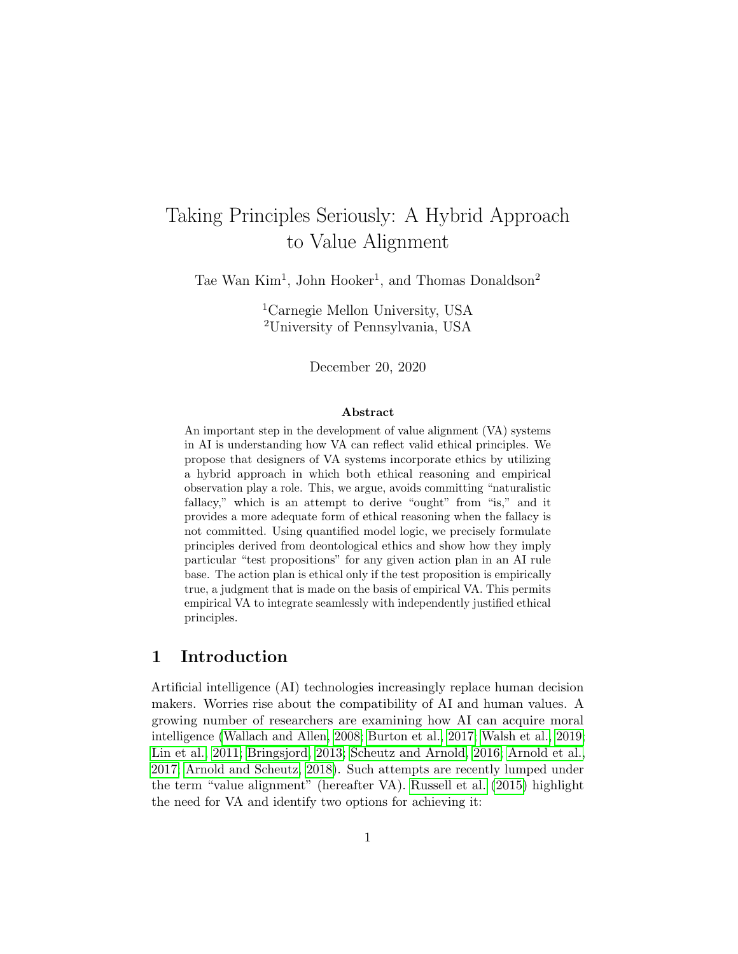# Taking Principles Seriously: A Hybrid Approach to Value Alignment

Tae Wan Kim<sup>1</sup>, John Hooker<sup>1</sup>, and Thomas Donaldson<sup>2</sup>

<sup>1</sup>Carnegie Mellon University, USA <sup>2</sup>University of Pennsylvania, USA

December 20, 2020

#### Abstract

An important step in the development of value alignment (VA) systems in AI is understanding how VA can reflect valid ethical principles. We propose that designers of VA systems incorporate ethics by utilizing a hybrid approach in which both ethical reasoning and empirical observation play a role. This, we argue, avoids committing "naturalistic fallacy," which is an attempt to derive "ought" from "is," and it provides a more adequate form of ethical reasoning when the fallacy is not committed. Using quantified model logic, we precisely formulate principles derived from deontological ethics and show how they imply particular "test propositions" for any given action plan in an AI rule base. The action plan is ethical only if the test proposition is empirically true, a judgment that is made on the basis of empirical VA. This permits empirical VA to integrate seamlessly with independently justified ethical principles.

## 1 Introduction

Artificial intelligence (AI) technologies increasingly replace human decision makers. Worries rise about the compatibility of AI and human values. A growing number of researchers are examining how AI can acquire moral intelligence [\(Wallach and Allen, 2008;](#page-26-0) [Burton et al., 2017;](#page-22-0) [Walsh et al., 2019;](#page-27-0) [Lin et al., 2011;](#page-24-0) [Bringsjord, 2013;](#page-21-0) [Scheutz and Arnold, 2016;](#page-26-1) [Arnold et al.,](#page-20-0) [2017;](#page-20-0) [Arnold and Scheutz, 2018\)](#page-20-1). Such attempts are recently lumped under the term "value alignment" (hereafter VA). [Russell et al.](#page-25-0) [\(2015\)](#page-25-0) highlight the need for VA and identify two options for achieving it: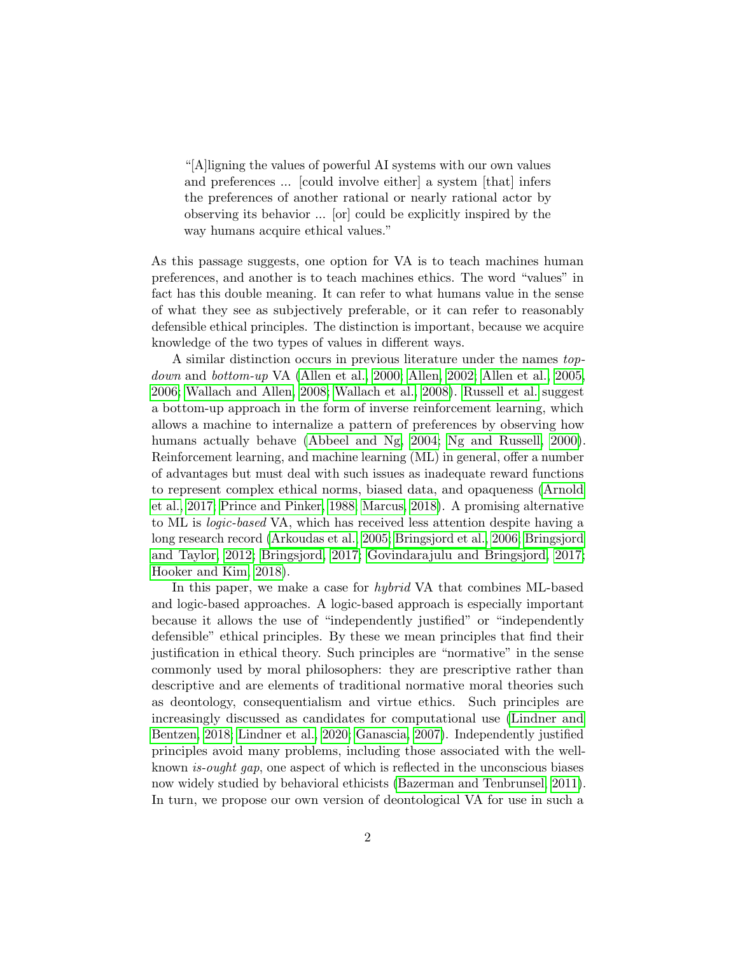"[A]ligning the values of powerful AI systems with our own values and preferences ... [could involve either] a system [that] infers the preferences of another rational or nearly rational actor by observing its behavior ... [or] could be explicitly inspired by the way humans acquire ethical values."

As this passage suggests, one option for VA is to teach machines human preferences, and another is to teach machines ethics. The word "values" in fact has this double meaning. It can refer to what humans value in the sense of what they see as subjectively preferable, or it can refer to reasonably defensible ethical principles. The distinction is important, because we acquire knowledge of the two types of values in different ways.

A similar distinction occurs in previous literature under the names topdown and bottom-up VA [\(Allen et al., 2000;](#page-20-2) [Allen, 2002;](#page-20-3) [Allen et al., 2005,](#page-20-4) [2006;](#page-20-5) [Wallach and Allen, 2008;](#page-26-0) [Wallach et al., 2008\)](#page-26-2). [Russell et al.](#page-25-0) suggest a bottom-up approach in the form of inverse reinforcement learning, which allows a machine to internalize a pattern of preferences by observing how humans actually behave [\(Abbeel and Ng, 2004;](#page-20-6) [Ng and Russell, 2000\)](#page-25-1). Reinforcement learning, and machine learning (ML) in general, offer a number of advantages but must deal with such issues as inadequate reward functions to represent complex ethical norms, biased data, and opaqueness [\(Arnold](#page-20-0) [et al., 2017;](#page-20-0) [Prince and Pinker, 1988;](#page-25-2) [Marcus, 2018\)](#page-24-1). A promising alternative to ML is logic-based VA, which has received less attention despite having a long research record [\(Arkoudas et al., 2005;](#page-20-7) [Bringsjord et al., 2006;](#page-21-1) [Bringsjord](#page-21-2) [and Taylor, 2012;](#page-21-2) [Bringsjord, 2017;](#page-21-3) [Govindarajulu and Bringsjord, 2017;](#page-23-0) [Hooker and Kim, 2018\)](#page-23-1).

In this paper, we make a case for *hybrid* VA that combines ML-based and logic-based approaches. A logic-based approach is especially important because it allows the use of "independently justified" or "independently defensible" ethical principles. By these we mean principles that find their justification in ethical theory. Such principles are "normative" in the sense commonly used by moral philosophers: they are prescriptive rather than descriptive and are elements of traditional normative moral theories such as deontology, consequentialism and virtue ethics. Such principles are increasingly discussed as candidates for computational use [\(Lindner and](#page-24-2) [Bentzen, 2018;](#page-24-2) [Lindner et al., 2020;](#page-24-3) [Ganascia, 2007\)](#page-23-2). Independently justified principles avoid many problems, including those associated with the wellknown is-ought gap, one aspect of which is reflected in the unconscious biases now widely studied by behavioral ethicists [\(Bazerman and Tenbrunsel, 2011\)](#page-21-4). In turn, we propose our own version of deontological VA for use in such a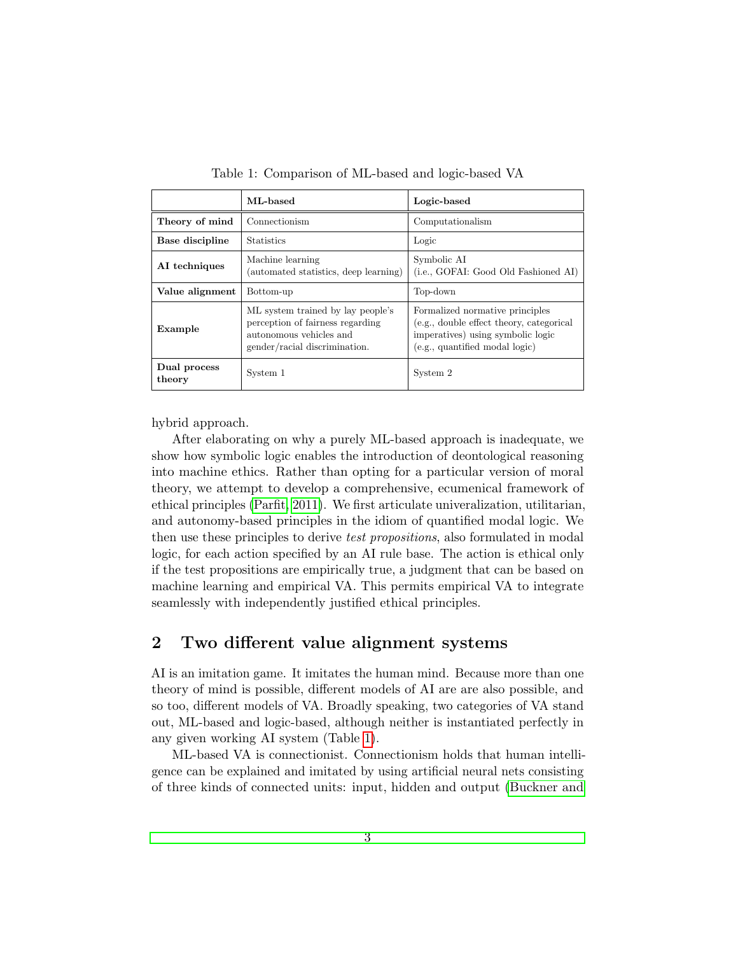|                        | ML-based                                                                                                                          | Logic-based                                                                                                                                        |
|------------------------|-----------------------------------------------------------------------------------------------------------------------------------|----------------------------------------------------------------------------------------------------------------------------------------------------|
| Theory of mind         | Connectionism                                                                                                                     | Computationalism                                                                                                                                   |
| Base discipline        | <b>Statistics</b>                                                                                                                 | Logic                                                                                                                                              |
| AI techniques          | Machine learning<br>(automated statistics, deep learning)                                                                         | Symbolic AI<br>(i.e., GOFAI: Good Old Fashioned AI)                                                                                                |
| Value alignment        | Bottom-up                                                                                                                         | Top-down                                                                                                                                           |
| Example                | ML system trained by lay people's<br>perception of fairness regarding<br>autonomous vehicles and<br>gender/racial discrimination. | Formalized normative principles<br>(e.g., double effect theory, categorical<br>imperatives) using symbolic logic<br>(e.g., quantified modal logic) |
| Dual process<br>theory | System 1                                                                                                                          | System 2                                                                                                                                           |

<span id="page-2-0"></span>Table 1: Comparison of ML-based and logic-based VA

hybrid approach.

After elaborating on why a purely ML-based approach is inadequate, we show how symbolic logic enables the introduction of deontological reasoning into machine ethics. Rather than opting for a particular version of moral theory, we attempt to develop a comprehensive, ecumenical framework of ethical principles [\(Parfit, 2011\)](#page-25-3). We first articulate univeralization, utilitarian, and autonomy-based principles in the idiom of quantified modal logic. We then use these principles to derive *test propositions*, also formulated in modal logic, for each action specified by an AI rule base. The action is ethical only if the test propositions are empirically true, a judgment that can be based on machine learning and empirical VA. This permits empirical VA to integrate seamlessly with independently justified ethical principles.

## 2 Two different value alignment systems

AI is an imitation game. It imitates the human mind. Because more than one theory of mind is possible, different models of AI are are also possible, and so too, different models of VA. Broadly speaking, two categories of VA stand out, ML-based and logic-based, although neither is instantiated perfectly in any given working AI system (Table [1\)](#page-2-0).

ML-based VA is connectionist. Connectionism holds that human intelligence can be explained and imitated by using artificial neural nets consisting of three kinds of connected units: input, hidden and output [\(Buckner and](#page-21-5)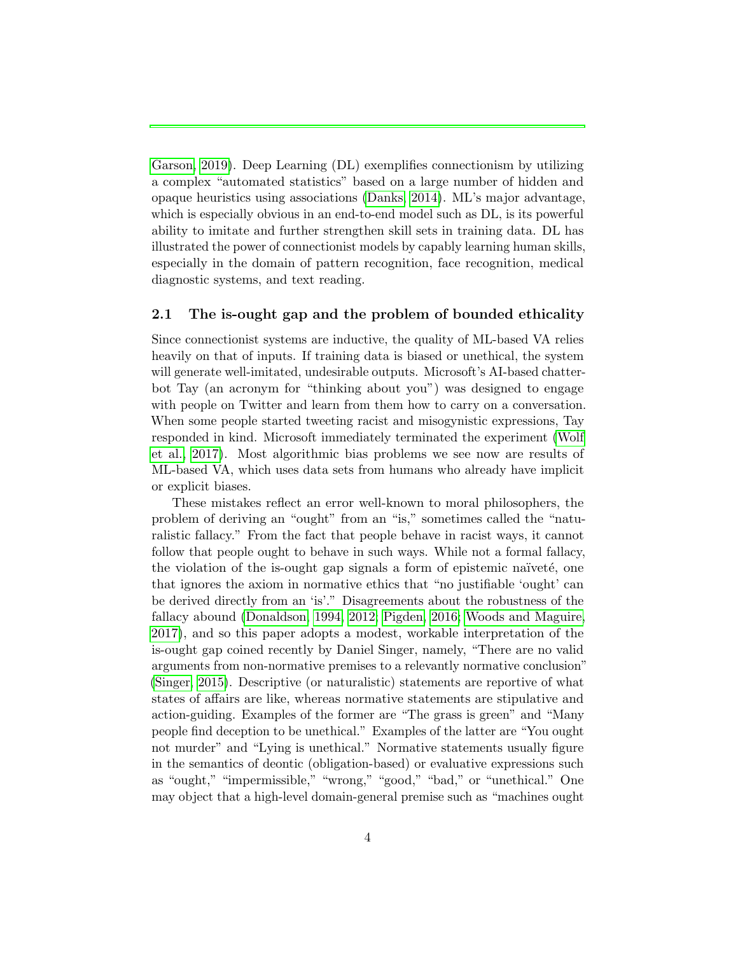[Garson, 2019\)](#page-21-5). Deep Learning (DL) exemplifies connectionism by utilizing a complex "automated statistics" based on a large number of hidden and opaque heuristics using associations [\(Danks, 2014\)](#page-22-1). ML's major advantage, which is especially obvious in an end-to-end model such as DL, is its powerful ability to imitate and further strengthen skill sets in training data. DL has illustrated the power of connectionist models by capably learning human skills, especially in the domain of pattern recognition, face recognition, medical diagnostic systems, and text reading.

### 2.1 The is-ought gap and the problem of bounded ethicality

Since connectionist systems are inductive, the quality of ML-based VA relies heavily on that of inputs. If training data is biased or unethical, the system will generate well-imitated, undesirable outputs. Microsoft's AI-based chatterbot Tay (an acronym for "thinking about you") was designed to engage with people on Twitter and learn from them how to carry on a conversation. When some people started tweeting racist and misogynistic expressions, Tay responded in kind. Microsoft immediately terminated the experiment [\(Wolf](#page-27-1) [et al., 2017\)](#page-27-1). Most algorithmic bias problems we see now are results of ML-based VA, which uses data sets from humans who already have implicit or explicit biases.

These mistakes reflect an error well-known to moral philosophers, the problem of deriving an "ought" from an "is," sometimes called the "naturalistic fallacy." From the fact that people behave in racist ways, it cannot follow that people ought to behave in such ways. While not a formal fallacy, the violation of the is-ought gap signals a form of epistemic naïveté, one that ignores the axiom in normative ethics that "no justifiable 'ought' can be derived directly from an 'is'." Disagreements about the robustness of the fallacy abound [\(Donaldson, 1994,](#page-22-2) [2012;](#page-22-3) [Pigden, 2016;](#page-25-4) [Woods and Maguire,](#page-27-2) [2017\)](#page-27-2), and so this paper adopts a modest, workable interpretation of the is-ought gap coined recently by Daniel Singer, namely, "There are no valid arguments from non-normative premises to a relevantly normative conclusion" [\(Singer, 2015\)](#page-26-3). Descriptive (or naturalistic) statements are reportive of what states of affairs are like, whereas normative statements are stipulative and action-guiding. Examples of the former are "The grass is green" and "Many people find deception to be unethical." Examples of the latter are "You ought not murder" and "Lying is unethical." Normative statements usually figure in the semantics of deontic (obligation-based) or evaluative expressions such as "ought," "impermissible," "wrong," "good," "bad," or "unethical." One may object that a high-level domain-general premise such as "machines ought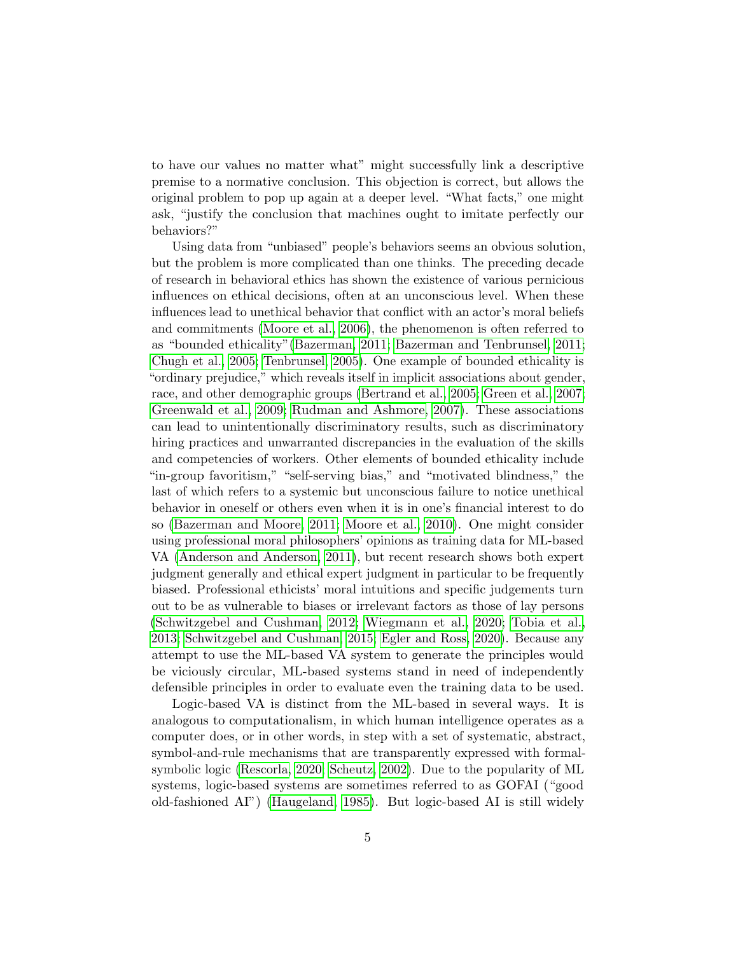to have our values no matter what" might successfully link a descriptive premise to a normative conclusion. This objection is correct, but allows the original problem to pop up again at a deeper level. "What facts," one might ask, "justify the conclusion that machines ought to imitate perfectly our behaviors?"

Using data from "unbiased" people's behaviors seems an obvious solution, but the problem is more complicated than one thinks. The preceding decade of research in behavioral ethics has shown the existence of various pernicious influences on ethical decisions, often at an unconscious level. When these influences lead to unethical behavior that conflict with an actor's moral beliefs and commitments [\(Moore et al., 2006\)](#page-24-4), the phenomenon is often referred to as "bounded ethicality"[\(Bazerman, 2011;](#page-20-8) [Bazerman and Tenbrunsel, 2011;](#page-21-4) [Chugh et al., 2005;](#page-22-4) [Tenbrunsel, 2005\)](#page-26-4). One example of bounded ethicality is "ordinary prejudice," which reveals itself in implicit associations about gender, race, and other demographic groups [\(Bertrand et al., 2005;](#page-21-6) [Green et al., 2007;](#page-23-3) [Greenwald et al., 2009;](#page-23-4) [Rudman and Ashmore, 2007\)](#page-25-5). These associations can lead to unintentionally discriminatory results, such as discriminatory hiring practices and unwarranted discrepancies in the evaluation of the skills and competencies of workers. Other elements of bounded ethicality include "in-group favoritism," "self-serving bias," and "motivated blindness," the last of which refers to a systemic but unconscious failure to notice unethical behavior in oneself or others even when it is in one's financial interest to do so [\(Bazerman and Moore, 2011;](#page-21-7) [Moore et al., 2010\)](#page-24-5). One might consider using professional moral philosophers' opinions as training data for ML-based VA [\(Anderson and Anderson, 2011\)](#page-20-9), but recent research shows both expert judgment generally and ethical expert judgment in particular to be frequently biased. Professional ethicists' moral intuitions and specific judgements turn out to be as vulnerable to biases or irrelevant factors as those of lay persons [\(Schwitzgebel and Cushman, 2012;](#page-26-5) [Wiegmann et al., 2020;](#page-27-3) [Tobia et al.,](#page-26-6) [2013;](#page-26-6) [Schwitzgebel and Cushman, 2015;](#page-26-7) [Egler and Ross, 2020\)](#page-22-5). Because any attempt to use the ML-based VA system to generate the principles would be viciously circular, ML-based systems stand in need of independently defensible principles in order to evaluate even the training data to be used.

Logic-based VA is distinct from the ML-based in several ways. It is analogous to computationalism, in which human intelligence operates as a computer does, or in other words, in step with a set of systematic, abstract, symbol-and-rule mechanisms that are transparently expressed with formalsymbolic logic [\(Rescorla, 2020;](#page-25-6) [Scheutz, 2002\)](#page-25-7). Due to the popularity of ML systems, logic-based systems are sometimes referred to as GOFAI ("good old-fashioned AI") [\(Haugeland, 1985\)](#page-23-5). But logic-based AI is still widely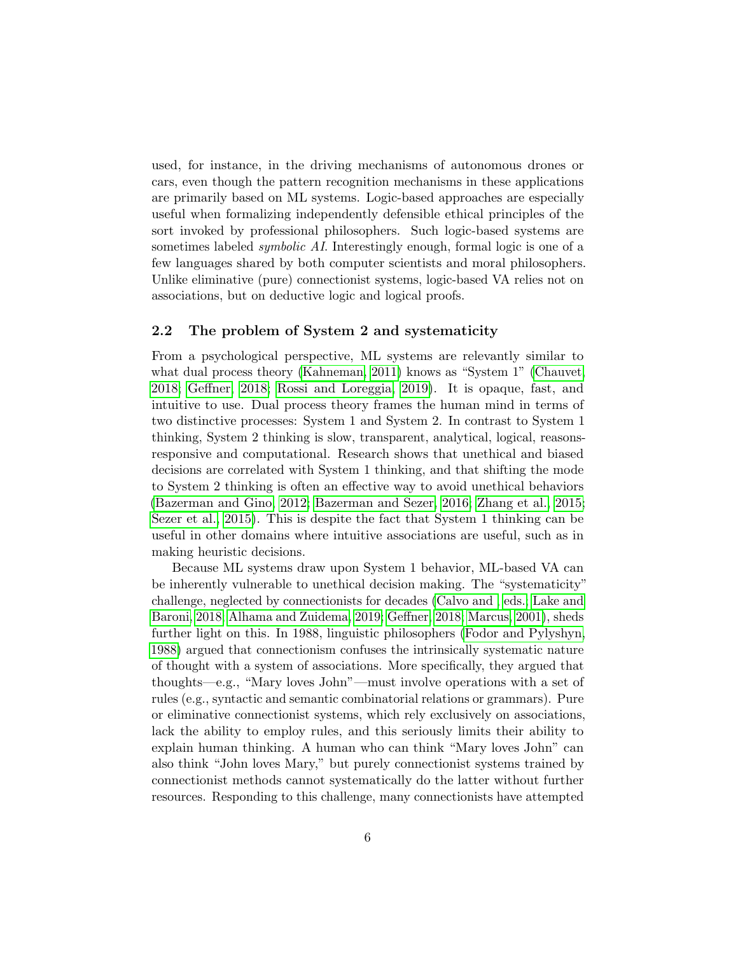used, for instance, in the driving mechanisms of autonomous drones or cars, even though the pattern recognition mechanisms in these applications are primarily based on ML systems. Logic-based approaches are especially useful when formalizing independently defensible ethical principles of the sort invoked by professional philosophers. Such logic-based systems are sometimes labeled symbolic AI. Interestingly enough, formal logic is one of a few languages shared by both computer scientists and moral philosophers. Unlike eliminative (pure) connectionist systems, logic-based VA relies not on associations, but on deductive logic and logical proofs.

#### 2.2 The problem of System 2 and systematicity

From a psychological perspective, ML systems are relevantly similar to what dual process theory [\(Kahneman, 2011\)](#page-23-6) knows as "System 1" [\(Chauvet,](#page-22-6) [2018;](#page-22-6) [Geffner, 2018;](#page-23-7) [Rossi and Loreggia, 2019\)](#page-25-8). It is opaque, fast, and intuitive to use. Dual process theory frames the human mind in terms of two distinctive processes: System 1 and System 2. In contrast to System 1 thinking, System 2 thinking is slow, transparent, analytical, logical, reasonsresponsive and computational. Research shows that unethical and biased decisions are correlated with System 1 thinking, and that shifting the mode to System 2 thinking is often an effective way to avoid unethical behaviors [\(Bazerman and Gino, 2012;](#page-21-8) [Bazerman and Sezer, 2016;](#page-21-9) [Zhang et al., 2015;](#page-27-4) [Sezer et al., 2015\)](#page-26-8). This is despite the fact that System 1 thinking can be useful in other domains where intuitive associations are useful, such as in making heuristic decisions.

Because ML systems draw upon System 1 behavior, ML-based VA can be inherently vulnerable to unethical decision making. The "systematicity" challenge, neglected by connectionists for decades [\(Calvo and , eds.;](#page-22-7) [Lake and](#page-24-6) [Baroni, 2018;](#page-24-6) [Alhama and Zuidema, 2019;](#page-20-10) [Geffner, 2018;](#page-23-7) [Marcus, 2001\)](#page-24-7), sheds further light on this. In 1988, linguistic philosophers [\(Fodor and Pylyshyn,](#page-22-8) [1988\)](#page-22-8) argued that connectionism confuses the intrinsically systematic nature of thought with a system of associations. More specifically, they argued that thoughts—e.g., "Mary loves John"—must involve operations with a set of rules (e.g., syntactic and semantic combinatorial relations or grammars). Pure or eliminative connectionist systems, which rely exclusively on associations, lack the ability to employ rules, and this seriously limits their ability to explain human thinking. A human who can think "Mary loves John" can also think "John loves Mary," but purely connectionist systems trained by connectionist methods cannot systematically do the latter without further resources. Responding to this challenge, many connectionists have attempted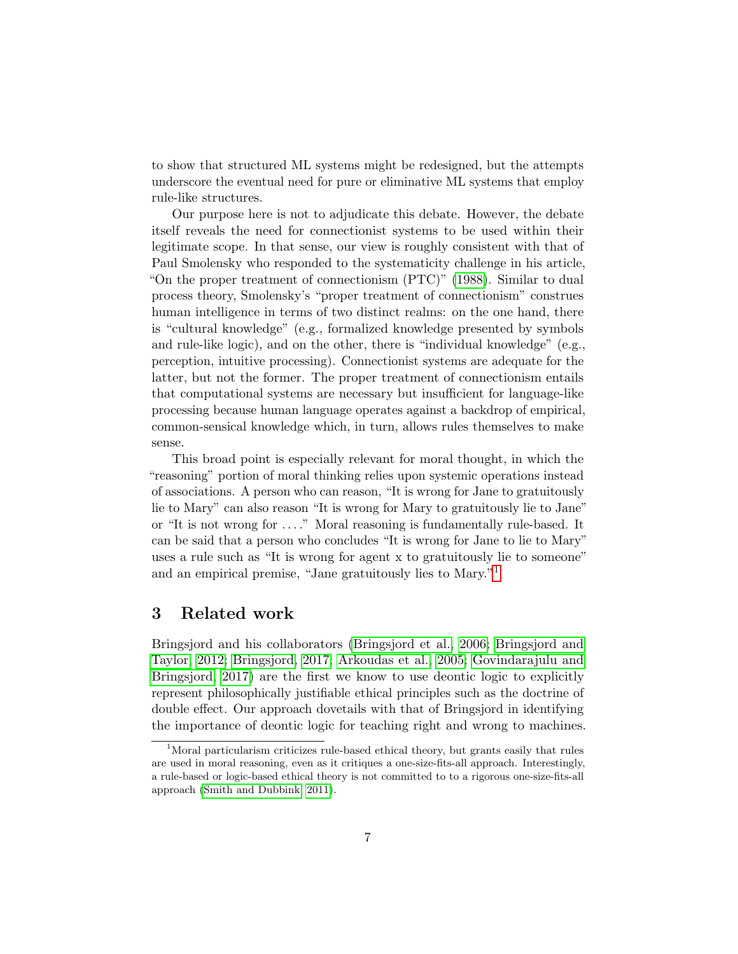to show that structured ML systems might be redesigned, but the attempts underscore the eventual need for pure or eliminative ML systems that employ rule-like structures.

Our purpose here is not to adjudicate this debate. However, the debate itself reveals the need for connectionist systems to be used within their legitimate scope. In that sense, our view is roughly consistent with that of Paul Smolensky who responded to the systematicity challenge in his article, "On the proper treatment of connectionism (PTC)" [\(1988\)](#page-26-9). Similar to dual process theory, Smolensky's "proper treatment of connectionism" construes human intelligence in terms of two distinct realms: on the one hand, there is "cultural knowledge" (e.g., formalized knowledge presented by symbols and rule-like logic), and on the other, there is "individual knowledge" (e.g., perception, intuitive processing). Connectionist systems are adequate for the latter, but not the former. The proper treatment of connectionism entails that computational systems are necessary but insufficient for language-like processing because human language operates against a backdrop of empirical, common-sensical knowledge which, in turn, allows rules themselves to make sense.

This broad point is especially relevant for moral thought, in which the "reasoning" portion of moral thinking relies upon systemic operations instead of associations. A person who can reason, "It is wrong for Jane to gratuitously lie to Mary" can also reason "It is wrong for Mary to gratuitously lie to Jane" or "It is not wrong for . . . ." Moral reasoning is fundamentally rule-based. It can be said that a person who concludes "It is wrong for Jane to lie to Mary" uses a rule such as "It is wrong for agent x to gratuitously lie to someone" and an empirical premise, "Jane gratuitously lies to Mary."[1](#page-6-0)

## 3 Related work

Bringsjord and his collaborators [\(Bringsjord et al., 2006;](#page-21-1) [Bringsjord and](#page-21-2) [Taylor, 2012;](#page-21-2) [Bringsjord, 2017;](#page-21-3) [Arkoudas et al., 2005;](#page-20-7) [Govindarajulu and](#page-23-0) [Bringsjord, 2017\)](#page-23-0) are the first we know to use deontic logic to explicitly represent philosophically justifiable ethical principles such as the doctrine of double effect. Our approach dovetails with that of Bringsjord in identifying the importance of deontic logic for teaching right and wrong to machines.

<span id="page-6-0"></span> $1$ Moral particularism criticizes rule-based ethical theory, but grants easily that rules are used in moral reasoning, even as it critiques a one-size-fits-all approach. Interestingly, a rule-based or logic-based ethical theory is not committed to to a rigorous one-size-fits-all approach [\(Smith and Dubbink, 2011\)](#page-26-10).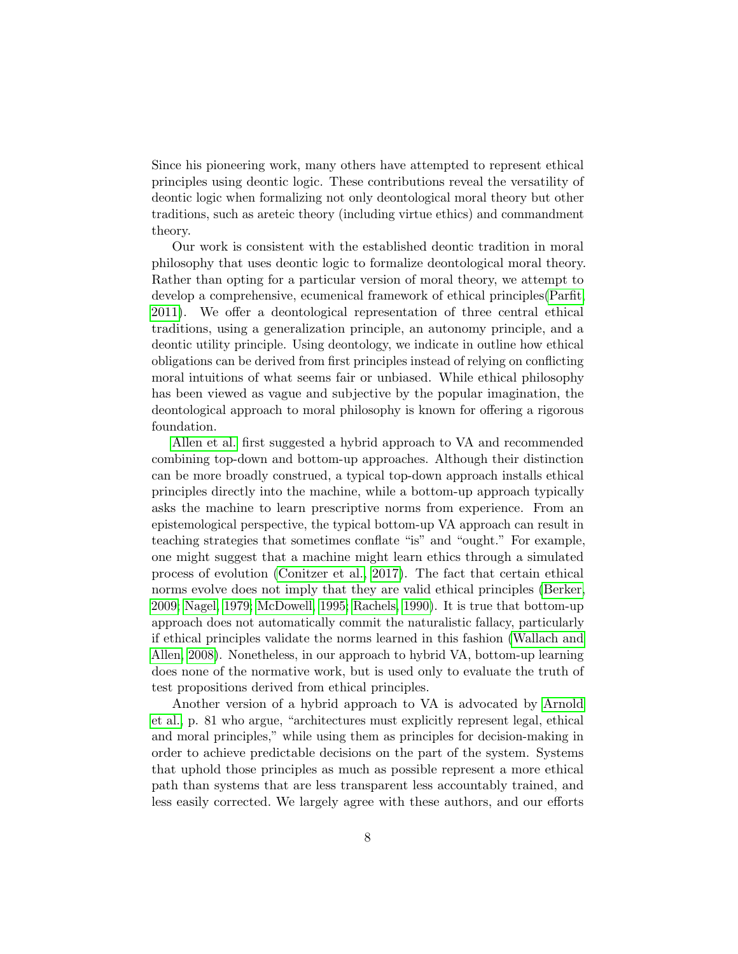Since his pioneering work, many others have attempted to represent ethical principles using deontic logic. These contributions reveal the versatility of deontic logic when formalizing not only deontological moral theory but other traditions, such as areteic theory (including virtue ethics) and commandment theory.

Our work is consistent with the established deontic tradition in moral philosophy that uses deontic logic to formalize deontological moral theory. Rather than opting for a particular version of moral theory, we attempt to develop a comprehensive, ecumenical framework of ethical principles[\(Parfit,](#page-25-3) [2011\)](#page-25-3). We offer a deontological representation of three central ethical traditions, using a generalization principle, an autonomy principle, and a deontic utility principle. Using deontology, we indicate in outline how ethical obligations can be derived from first principles instead of relying on conflicting moral intuitions of what seems fair or unbiased. While ethical philosophy has been viewed as vague and subjective by the popular imagination, the deontological approach to moral philosophy is known for offering a rigorous foundation.

[Allen et al.](#page-20-4) first suggested a hybrid approach to VA and recommended combining top-down and bottom-up approaches. Although their distinction can be more broadly construed, a typical top-down approach installs ethical principles directly into the machine, while a bottom-up approach typically asks the machine to learn prescriptive norms from experience. From an epistemological perspective, the typical bottom-up VA approach can result in teaching strategies that sometimes conflate "is" and "ought." For example, one might suggest that a machine might learn ethics through a simulated process of evolution [\(Conitzer et al., 2017\)](#page-22-9). The fact that certain ethical norms evolve does not imply that they are valid ethical principles [\(Berker,](#page-21-10) [2009;](#page-21-10) [Nagel, 1979;](#page-24-8) [McDowell, 1995;](#page-24-9) [Rachels, 1990\)](#page-25-9). It is true that bottom-up approach does not automatically commit the naturalistic fallacy, particularly if ethical principles validate the norms learned in this fashion [\(Wallach and](#page-26-0) [Allen, 2008\)](#page-26-0). Nonetheless, in our approach to hybrid VA, bottom-up learning does none of the normative work, but is used only to evaluate the truth of test propositions derived from ethical principles.

Another version of a hybrid approach to VA is advocated by [Arnold](#page-20-0) [et al.,](#page-20-0) p. 81 who argue, "architectures must explicitly represent legal, ethical and moral principles," while using them as principles for decision-making in order to achieve predictable decisions on the part of the system. Systems that uphold those principles as much as possible represent a more ethical path than systems that are less transparent less accountably trained, and less easily corrected. We largely agree with these authors, and our efforts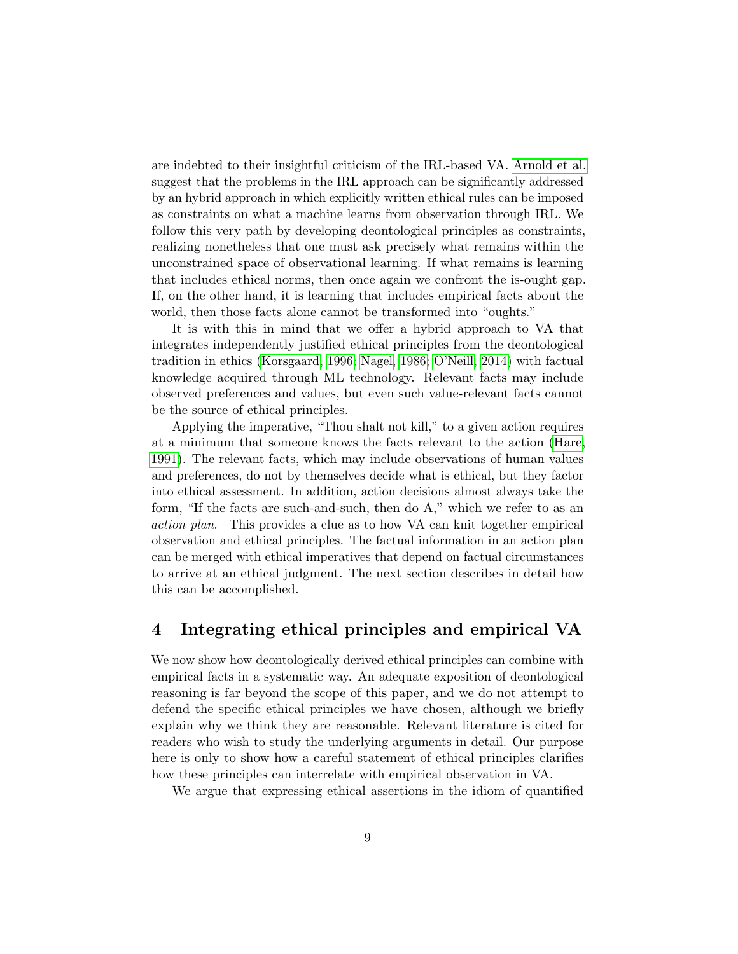are indebted to their insightful criticism of the IRL-based VA. [Arnold et al.](#page-20-0) suggest that the problems in the IRL approach can be significantly addressed by an hybrid approach in which explicitly written ethical rules can be imposed as constraints on what a machine learns from observation through IRL. We follow this very path by developing deontological principles as constraints, realizing nonetheless that one must ask precisely what remains within the unconstrained space of observational learning. If what remains is learning that includes ethical norms, then once again we confront the is-ought gap. If, on the other hand, it is learning that includes empirical facts about the world, then those facts alone cannot be transformed into "oughts."

It is with this in mind that we offer a hybrid approach to VA that integrates independently justified ethical principles from the deontological tradition in ethics [\(Korsgaard, 1996;](#page-24-10) [Nagel, 1986;](#page-25-10) [O'Neill, 2014\)](#page-25-11) with factual knowledge acquired through ML technology. Relevant facts may include observed preferences and values, but even such value-relevant facts cannot be the source of ethical principles.

Applying the imperative, "Thou shalt not kill," to a given action requires at a minimum that someone knows the facts relevant to the action [\(Hare,](#page-23-8) [1991\)](#page-23-8). The relevant facts, which may include observations of human values and preferences, do not by themselves decide what is ethical, but they factor into ethical assessment. In addition, action decisions almost always take the form, "If the facts are such-and-such, then do A," which we refer to as an action plan. This provides a clue as to how VA can knit together empirical observation and ethical principles. The factual information in an action plan can be merged with ethical imperatives that depend on factual circumstances to arrive at an ethical judgment. The next section describes in detail how this can be accomplished.

## 4 Integrating ethical principles and empirical VA

We now show how deontologically derived ethical principles can combine with empirical facts in a systematic way. An adequate exposition of deontological reasoning is far beyond the scope of this paper, and we do not attempt to defend the specific ethical principles we have chosen, although we briefly explain why we think they are reasonable. Relevant literature is cited for readers who wish to study the underlying arguments in detail. Our purpose here is only to show how a careful statement of ethical principles clarifies how these principles can interrelate with empirical observation in VA.

We argue that expressing ethical assertions in the idiom of quantified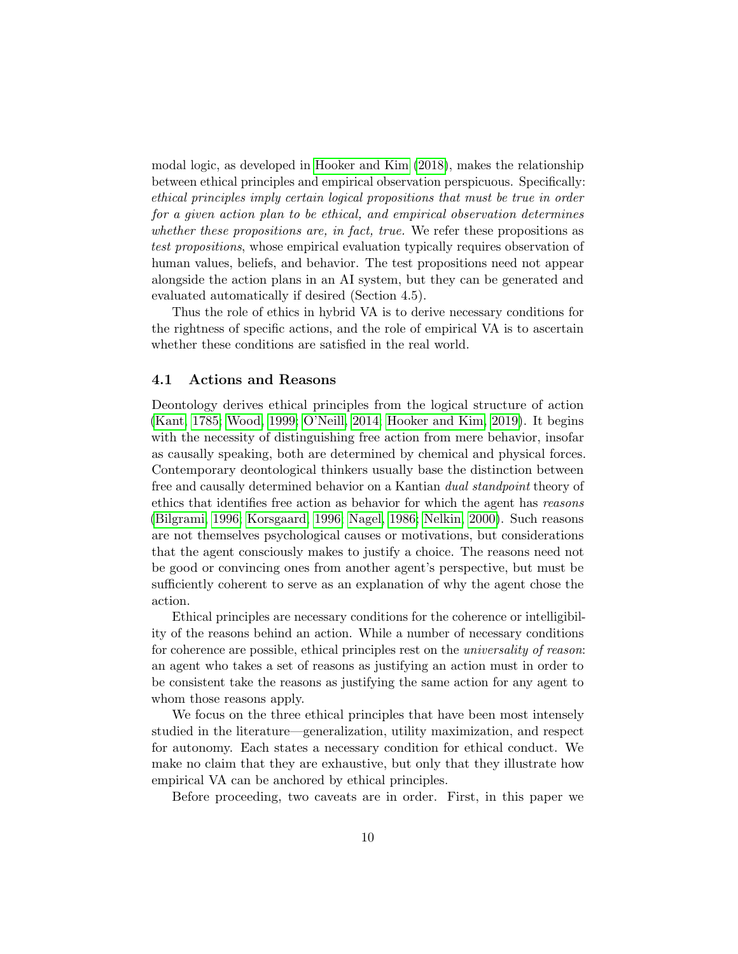modal logic, as developed in [Hooker and Kim](#page-23-1) [\(2018\)](#page-23-1), makes the relationship between ethical principles and empirical observation perspicuous. Specifically: ethical principles imply certain logical propositions that must be true in order for a given action plan to be ethical, and empirical observation determines whether these propositions are, in fact, true. We refer these propositions as test propositions, whose empirical evaluation typically requires observation of human values, beliefs, and behavior. The test propositions need not appear alongside the action plans in an AI system, but they can be generated and evaluated automatically if desired (Section 4.5).

Thus the role of ethics in hybrid VA is to derive necessary conditions for the rightness of specific actions, and the role of empirical VA is to ascertain whether these conditions are satisfied in the real world.

#### 4.1 Actions and Reasons

Deontology derives ethical principles from the logical structure of action [\(Kant, 1785;](#page-23-9) [Wood, 1999;](#page-27-5) [O'Neill, 2014;](#page-25-11) [Hooker and Kim, 2019\)](#page-23-10). It begins with the necessity of distinguishing free action from mere behavior, insofar as causally speaking, both are determined by chemical and physical forces. Contemporary deontological thinkers usually base the distinction between free and causally determined behavior on a Kantian *dual standpoint* theory of ethics that identifies free action as behavior for which the agent has reasons [\(Bilgrami, 1996;](#page-21-11) [Korsgaard, 1996;](#page-24-10) [Nagel, 1986;](#page-25-10) [Nelkin, 2000\)](#page-25-12). Such reasons are not themselves psychological causes or motivations, but considerations that the agent consciously makes to justify a choice. The reasons need not be good or convincing ones from another agent's perspective, but must be sufficiently coherent to serve as an explanation of why the agent chose the action.

Ethical principles are necessary conditions for the coherence or intelligibility of the reasons behind an action. While a number of necessary conditions for coherence are possible, ethical principles rest on the universality of reason: an agent who takes a set of reasons as justifying an action must in order to be consistent take the reasons as justifying the same action for any agent to whom those reasons apply.

We focus on the three ethical principles that have been most intensely studied in the literature—generalization, utility maximization, and respect for autonomy. Each states a necessary condition for ethical conduct. We make no claim that they are exhaustive, but only that they illustrate how empirical VA can be anchored by ethical principles.

Before proceeding, two caveats are in order. First, in this paper we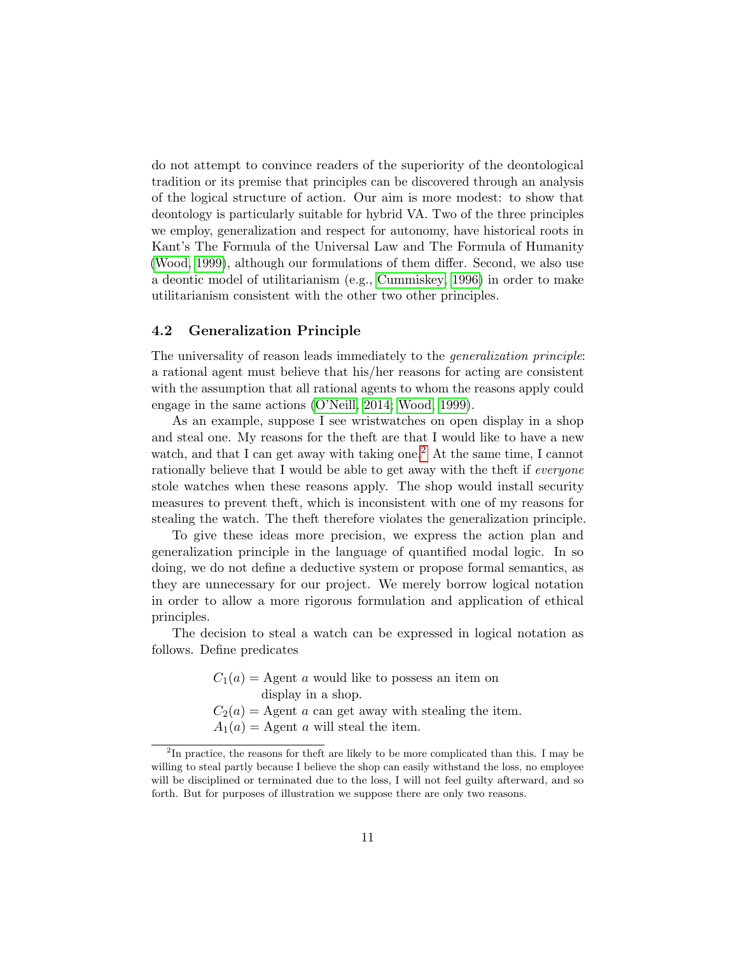do not attempt to convince readers of the superiority of the deontological tradition or its premise that principles can be discovered through an analysis of the logical structure of action. Our aim is more modest: to show that deontology is particularly suitable for hybrid VA. Two of the three principles we employ, generalization and respect for autonomy, have historical roots in Kant's The Formula of the Universal Law and The Formula of Humanity [\(Wood, 1999\)](#page-27-5), although our formulations of them differ. Second, we also use a deontic model of utilitarianism (e.g., [Cummiskey, 1996\)](#page-22-10) in order to make utilitarianism consistent with the other two other principles.

#### 4.2 Generalization Principle

The universality of reason leads immediately to the generalization principle: a rational agent must believe that his/her reasons for acting are consistent with the assumption that all rational agents to whom the reasons apply could engage in the same actions [\(O'Neill, 2014;](#page-25-11) [Wood, 1999\)](#page-27-5).

As an example, suppose I see wristwatches on open display in a shop and steal one. My reasons for the theft are that I would like to have a new watch, and that I can get away with taking one.<sup>[2](#page-10-0)</sup> At the same time, I cannot rationally believe that I would be able to get away with the theft if everyone stole watches when these reasons apply. The shop would install security measures to prevent theft, which is inconsistent with one of my reasons for stealing the watch. The theft therefore violates the generalization principle.

To give these ideas more precision, we express the action plan and generalization principle in the language of quantified modal logic. In so doing, we do not define a deductive system or propose formal semantics, as they are unnecessary for our project. We merely borrow logical notation in order to allow a more rigorous formulation and application of ethical principles.

The decision to steal a watch can be expressed in logical notation as follows. Define predicates

> $C_1(a) = \text{Agent } a$  would like to possess an item on display in a shop.  $C_2(a)$  = Agent a can get away with stealing the item.  $A_1(a) =$  Agent a will steal the item.

<span id="page-10-0"></span><sup>&</sup>lt;sup>2</sup>In practice, the reasons for theft are likely to be more complicated than this. I may be willing to steal partly because I believe the shop can easily withstand the loss, no employee will be disciplined or terminated due to the loss, I will not feel guilty afterward, and so forth. But for purposes of illustration we suppose there are only two reasons.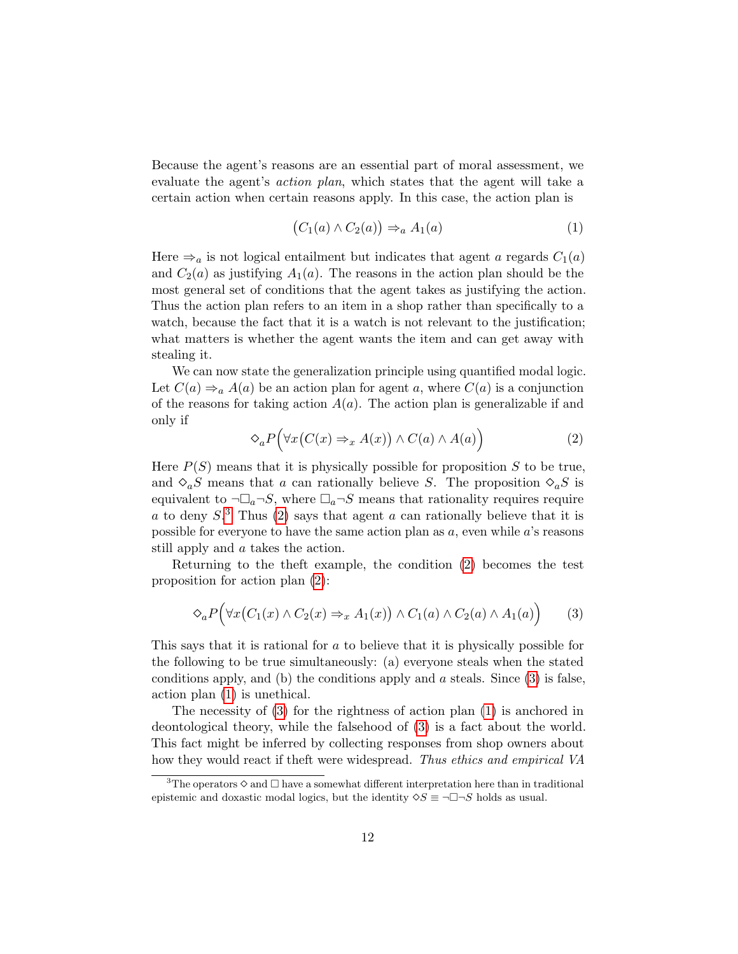Because the agent's reasons are an essential part of moral assessment, we evaluate the agent's action plan, which states that the agent will take a certain action when certain reasons apply. In this case, the action plan is

<span id="page-11-3"></span>
$$
(C_1(a) \wedge C_2(a)) \Rightarrow_a A_1(a) \tag{1}
$$

Here  $\Rightarrow_a$  is not logical entailment but indicates that agent a regards  $C_1(a)$ and  $C_2(a)$  as justifying  $A_1(a)$ . The reasons in the action plan should be the most general set of conditions that the agent takes as justifying the action. Thus the action plan refers to an item in a shop rather than specifically to a watch, because the fact that it is a watch is not relevant to the justification; what matters is whether the agent wants the item and can get away with stealing it.

We can now state the generalization principle using quantified modal logic. Let  $C(a) \Rightarrow_a A(a)$  be an action plan for agent a, where  $C(a)$  is a conjunction of the reasons for taking action  $A(a)$ . The action plan is generalizable if and only if

<span id="page-11-1"></span>
$$
\Diamond_a P\Big(\forall x \big(C(x) \Rightarrow_x A(x)\big) \land C(a) \land A(a)\Big) \tag{2}
$$

Here  $P(S)$  means that it is physically possible for proposition S to be true, and  $\Diamond_a S$  means that a can rationally believe S. The proposition  $\Diamond_a S$  is equivalent to  $\neg\Box_a\neg S$ , where  $\Box_a\neg S$  means that rationality requires require a to deny  $S^3$  $S^3$ . Thus [\(2\)](#page-11-1) says that agent a can rationally believe that it is possible for everyone to have the same action plan as  $a$ , even while  $a$ 's reasons still apply and a takes the action.

Returning to the theft example, the condition [\(2\)](#page-11-1) becomes the test proposition for action plan [\(2\)](#page-11-1):

<span id="page-11-2"></span>
$$
\Diamond_a P\Big(\forall x \big(C_1(x) \land C_2(x) \Rightarrow_x A_1(x)\big) \land C_1(a) \land C_2(a) \land A_1(a)\Big) \tag{3}
$$

This says that it is rational for a to believe that it is physically possible for the following to be true simultaneously: (a) everyone steals when the stated conditions apply, and (b) the conditions apply and  $\alpha$  steals. Since [\(3\)](#page-11-2) is false, action plan [\(1\)](#page-11-3) is unethical.

The necessity of [\(3\)](#page-11-2) for the rightness of action plan [\(1\)](#page-11-3) is anchored in deontological theory, while the falsehood of [\(3\)](#page-11-2) is a fact about the world. This fact might be inferred by collecting responses from shop owners about how they would react if theft were widespread. Thus ethics and empirical VA

<span id="page-11-0"></span><sup>&</sup>lt;sup>3</sup>The operators  $\Diamond$  and  $\Box$  have a somewhat different interpretation here than in traditional epistemic and doxastic modal logics, but the identity  $\Diamond S \equiv \neg \Box \neg S$  holds as usual.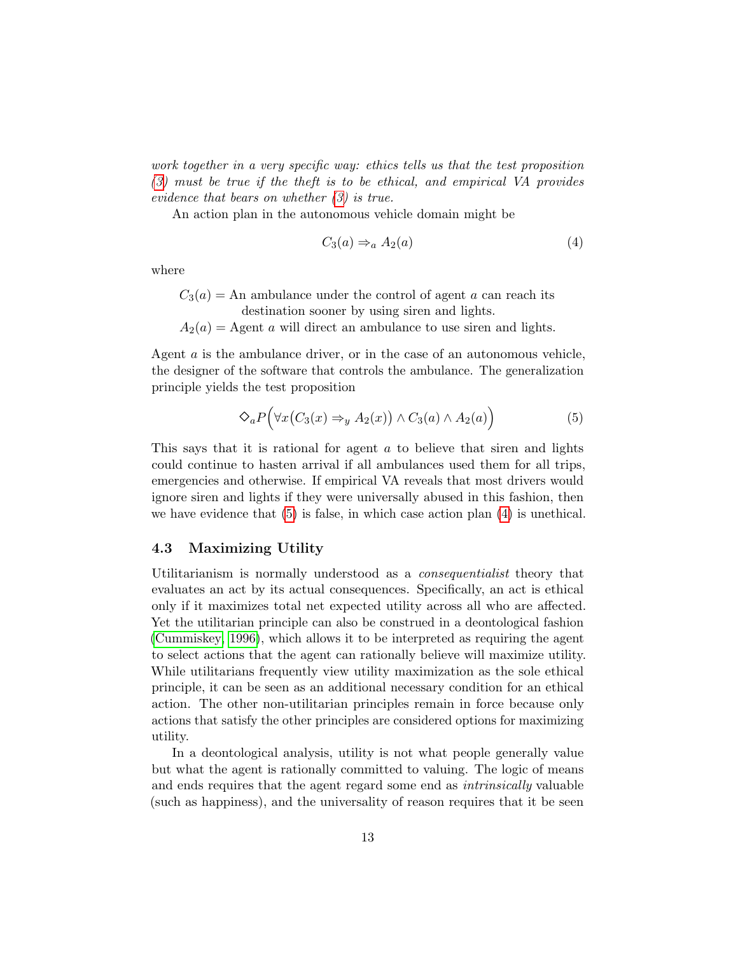work together in a very specific way: ethics tells us that the test proposition [\(3\)](#page-11-2) must be true if the theft is to be ethical, and empirical VA provides evidence that bears on whether [\(3\)](#page-11-2) is true.

An action plan in the autonomous vehicle domain might be

<span id="page-12-1"></span>
$$
C_3(a) \Rightarrow_a A_2(a) \tag{4}
$$

where

- $C_3(a)$  = An ambulance under the control of agent a can reach its destination sooner by using siren and lights.
- $A_2(a) =$  Agent a will direct an ambulance to use siren and lights.

Agent a is the ambulance driver, or in the case of an autonomous vehicle, the designer of the software that controls the ambulance. The generalization principle yields the test proposition

<span id="page-12-0"></span>
$$
\bigotimes_{a} P\Big(\forall x \big(C_3(x) \Rightarrow_y A_2(x)\big) \land C_3(a) \land A_2(a)\Big) \tag{5}
$$

This says that it is rational for agent a to believe that siren and lights could continue to hasten arrival if all ambulances used them for all trips, emergencies and otherwise. If empirical VA reveals that most drivers would ignore siren and lights if they were universally abused in this fashion, then we have evidence that  $(5)$  is false, in which case action plan  $(4)$  is unethical.

### 4.3 Maximizing Utility

Utilitarianism is normally understood as a consequentialist theory that evaluates an act by its actual consequences. Specifically, an act is ethical only if it maximizes total net expected utility across all who are affected. Yet the utilitarian principle can also be construed in a deontological fashion [\(Cummiskey, 1996\)](#page-22-10), which allows it to be interpreted as requiring the agent to select actions that the agent can rationally believe will maximize utility. While utilitarians frequently view utility maximization as the sole ethical principle, it can be seen as an additional necessary condition for an ethical action. The other non-utilitarian principles remain in force because only actions that satisfy the other principles are considered options for maximizing utility.

In a deontological analysis, utility is not what people generally value but what the agent is rationally committed to valuing. The logic of means and ends requires that the agent regard some end as intrinsically valuable (such as happiness), and the universality of reason requires that it be seen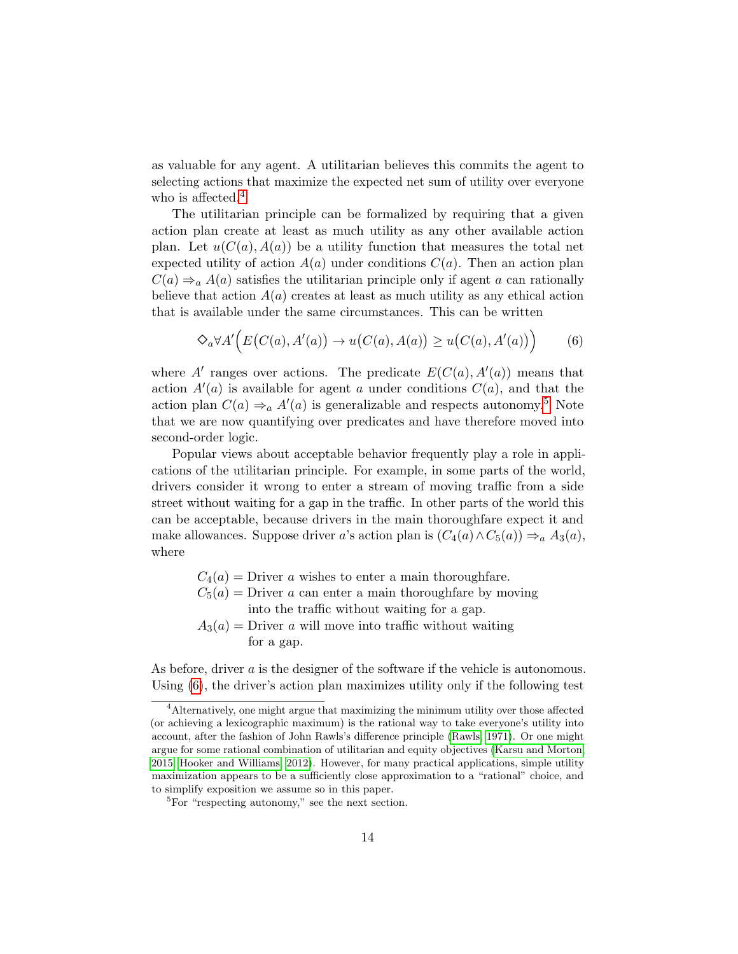as valuable for any agent. A utilitarian believes this commits the agent to selecting actions that maximize the expected net sum of utility over everyone who is affected.<sup>[4](#page-13-0)</sup>

The utilitarian principle can be formalized by requiring that a given action plan create at least as much utility as any other available action plan. Let  $u(C(a), A(a))$  be a utility function that measures the total net expected utility of action  $A(a)$  under conditions  $C(a)$ . Then an action plan  $C(a) \Rightarrow_a A(a)$  satisfies the utilitarian principle only if agent a can rationally believe that action  $A(a)$  creates at least as much utility as any ethical action that is available under the same circumstances. This can be written

<span id="page-13-2"></span>
$$
\bigotimes_{a} \forall A' \Big( E\big(C(a), A'(a)\big) \to u\big(C(a), A(a)\big) \ge u\big(C(a), A'(a)\big)\Big) \tag{6}
$$

where A' ranges over actions. The predicate  $E(C(a), A'(a))$  means that action  $A'(a)$  is available for agent a under conditions  $C(a)$ , and that the action plan  $C(a) \Rightarrow_a A'(a)$  is generalizable and respects autonomy.<sup>[5](#page-13-1)</sup> Note that we are now quantifying over predicates and have therefore moved into second-order logic.

Popular views about acceptable behavior frequently play a role in applications of the utilitarian principle. For example, in some parts of the world, drivers consider it wrong to enter a stream of moving traffic from a side street without waiting for a gap in the traffic. In other parts of the world this can be acceptable, because drivers in the main thoroughfare expect it and make allowances. Suppose driver a's action plan is  $(C_4(a) \wedge C_5(a)) \Rightarrow_a A_3(a)$ , where

> $C_4(a)$  = Driver a wishes to enter a main thoroughfare.  $C_5(a)$  = Driver a can enter a main thoroughfare by moving into the traffic without waiting for a gap.  $A_3(a)$  = Driver a will move into traffic without waiting for a gap.

As before, driver a is the designer of the software if the vehicle is autonomous. Using [\(6\)](#page-13-2), the driver's action plan maximizes utility only if the following test

<span id="page-13-0"></span><sup>&</sup>lt;sup>4</sup> Alternatively, one might argue that maximizing the minimum utility over those affected (or achieving a lexicographic maximum) is the rational way to take everyone's utility into account, after the fashion of John Rawls's difference principle [\(Rawls, 1971\)](#page-25-13). Or one might argue for some rational combination of utilitarian and equity objectives [\(Karsu and Morton,](#page-24-11) [2015;](#page-24-11) [Hooker and Williams, 2012\)](#page-23-11). However, for many practical applications, simple utility maximization appears to be a sufficiently close approximation to a "rational" choice, and to simplify exposition we assume so in this paper.

<span id="page-13-1"></span><sup>&</sup>lt;sup>5</sup>For "respecting autonomy," see the next section.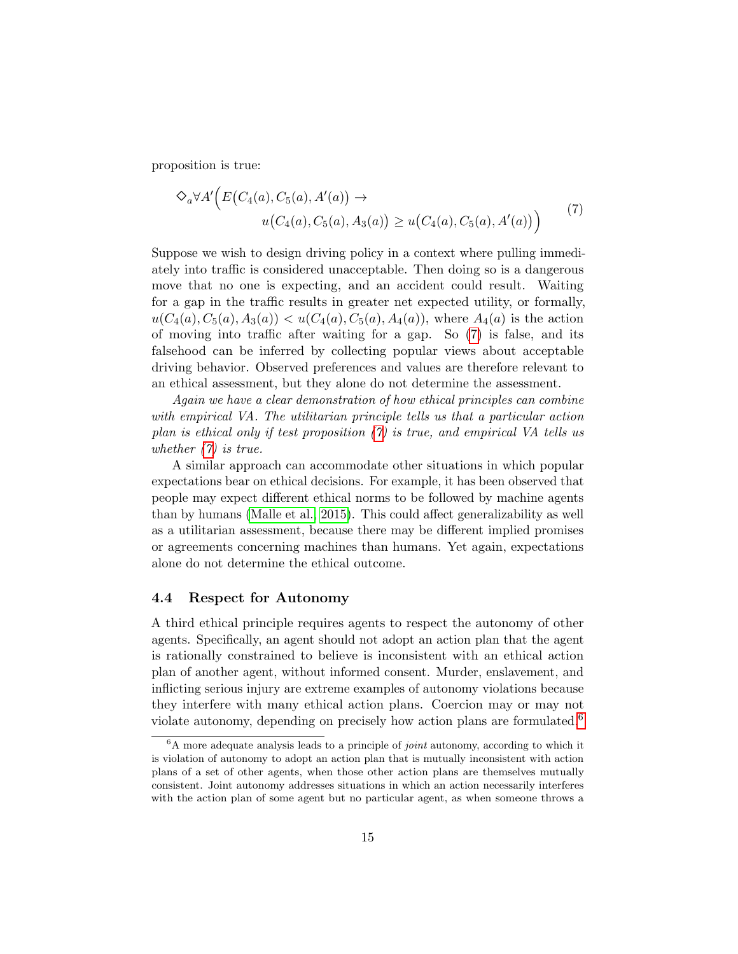proposition is true:

<span id="page-14-0"></span>
$$
\diamondsuit_a \forall A' \Big( E\big(C_4(a), C_5(a), A'(a)\big) \to
$$
  
 
$$
u\big(C_4(a), C_5(a), A_3(a)\big) \ge u\big(C_4(a), C_5(a), A'(a)\big)\Big)
$$
 (7)

Suppose we wish to design driving policy in a context where pulling immediately into traffic is considered unacceptable. Then doing so is a dangerous move that no one is expecting, and an accident could result. Waiting for a gap in the traffic results in greater net expected utility, or formally,  $u(C_4(a), C_5(a), A_3(a)) < u(C_4(a), C_5(a), A_4(a))$ , where  $A_4(a)$  is the action of moving into traffic after waiting for a gap. So [\(7\)](#page-14-0) is false, and its falsehood can be inferred by collecting popular views about acceptable driving behavior. Observed preferences and values are therefore relevant to an ethical assessment, but they alone do not determine the assessment.

Again we have a clear demonstration of how ethical principles can combine with empirical VA. The utilitarian principle tells us that a particular action plan is ethical only if test proposition [\(7\)](#page-14-0) is true, and empirical VA tells us whether  $(7)$  is true.

A similar approach can accommodate other situations in which popular expectations bear on ethical decisions. For example, it has been observed that people may expect different ethical norms to be followed by machine agents than by humans [\(Malle et al., 2015\)](#page-24-12). This could affect generalizability as well as a utilitarian assessment, because there may be different implied promises or agreements concerning machines than humans. Yet again, expectations alone do not determine the ethical outcome.

#### 4.4 Respect for Autonomy

A third ethical principle requires agents to respect the autonomy of other agents. Specifically, an agent should not adopt an action plan that the agent is rationally constrained to believe is inconsistent with an ethical action plan of another agent, without informed consent. Murder, enslavement, and inflicting serious injury are extreme examples of autonomy violations because they interfere with many ethical action plans. Coercion may or may not violate autonomy, depending on precisely how action plans are formulated.<sup>[6](#page-14-1)</sup>

<span id="page-14-1"></span> ${}^6A$  more adequate analysis leads to a principle of *joint* autonomy, according to which it is violation of autonomy to adopt an action plan that is mutually inconsistent with action plans of a set of other agents, when those other action plans are themselves mutually consistent. Joint autonomy addresses situations in which an action necessarily interferes with the action plan of some agent but no particular agent, as when someone throws a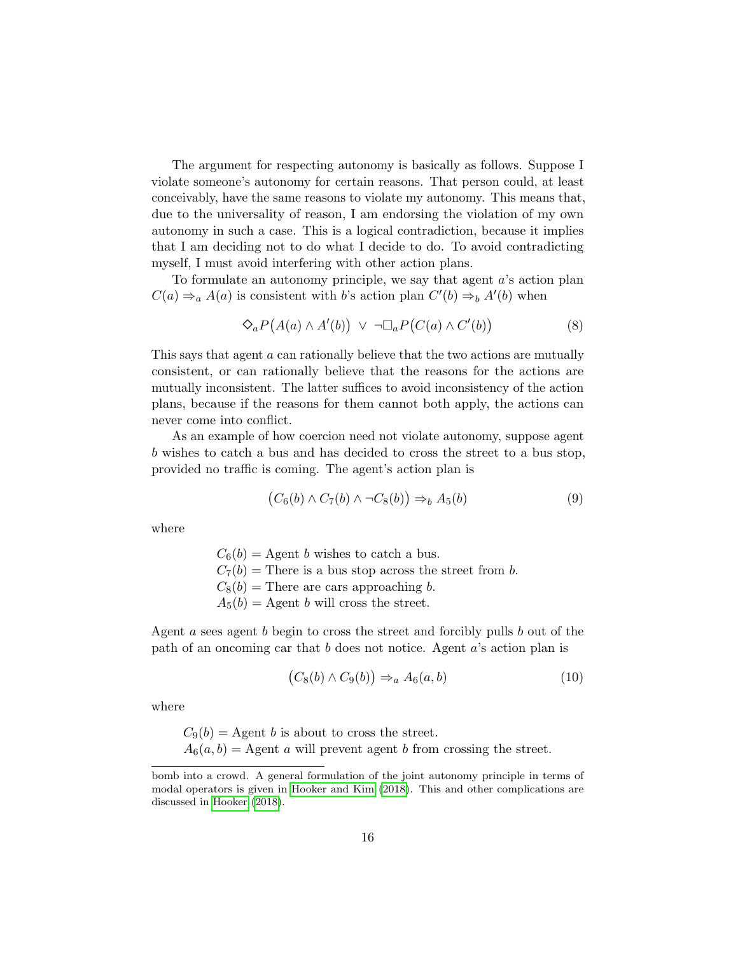The argument for respecting autonomy is basically as follows. Suppose I violate someone's autonomy for certain reasons. That person could, at least conceivably, have the same reasons to violate my autonomy. This means that, due to the universality of reason, I am endorsing the violation of my own autonomy in such a case. This is a logical contradiction, because it implies that I am deciding not to do what I decide to do. To avoid contradicting myself, I must avoid interfering with other action plans.

To formulate an autonomy principle, we say that agent a's action plan  $C(a) \Rightarrow_a A(a)$  is consistent with b's action plan  $C'(b) \Rightarrow_b A'(b)$  when

<span id="page-15-2"></span>
$$
\bigcirc_a P\big(A(a) \wedge A'(b)\big) \ \vee \ \neg \Box_a P\big(C(a) \wedge C'(b)\big) \tag{8}
$$

This says that agent a can rationally believe that the two actions are mutually consistent, or can rationally believe that the reasons for the actions are mutually inconsistent. The latter suffices to avoid inconsistency of the action plans, because if the reasons for them cannot both apply, the actions can never come into conflict.

As an example of how coercion need not violate autonomy, suppose agent b wishes to catch a bus and has decided to cross the street to a bus stop, provided no traffic is coming. The agent's action plan is

<span id="page-15-0"></span>
$$
(C_6(b) \wedge C_7(b) \wedge \neg C_8(b)) \Rightarrow_b A_5(b)
$$
\n
$$
(9)
$$

where

 $C_6(b) =$  Agent b wishes to catch a bus.  $C_7(b)$  = There is a bus stop across the street from b.  $C_8(b)$  = There are cars approaching b.  $A_5(b) =$  Agent b will cross the street.

Agent a sees agent b begin to cross the street and forcibly pulls b out of the path of an oncoming car that b does not notice. Agent a's action plan is

<span id="page-15-1"></span>
$$
(C_8(b) \wedge C_9(b)) \Rightarrow_a A_6(a, b) \tag{10}
$$

where

 $C_9(b) = \text{Agent } b$  is about to cross the street.  $A_6(a, b) =$  Agent a will prevent agent b from crossing the street.

bomb into a crowd. A general formulation of the joint autonomy principle in terms of modal operators is given in [Hooker and Kim](#page-23-1) [\(2018\)](#page-23-1). This and other complications are discussed in [Hooker](#page-23-12) [\(2018\)](#page-23-12).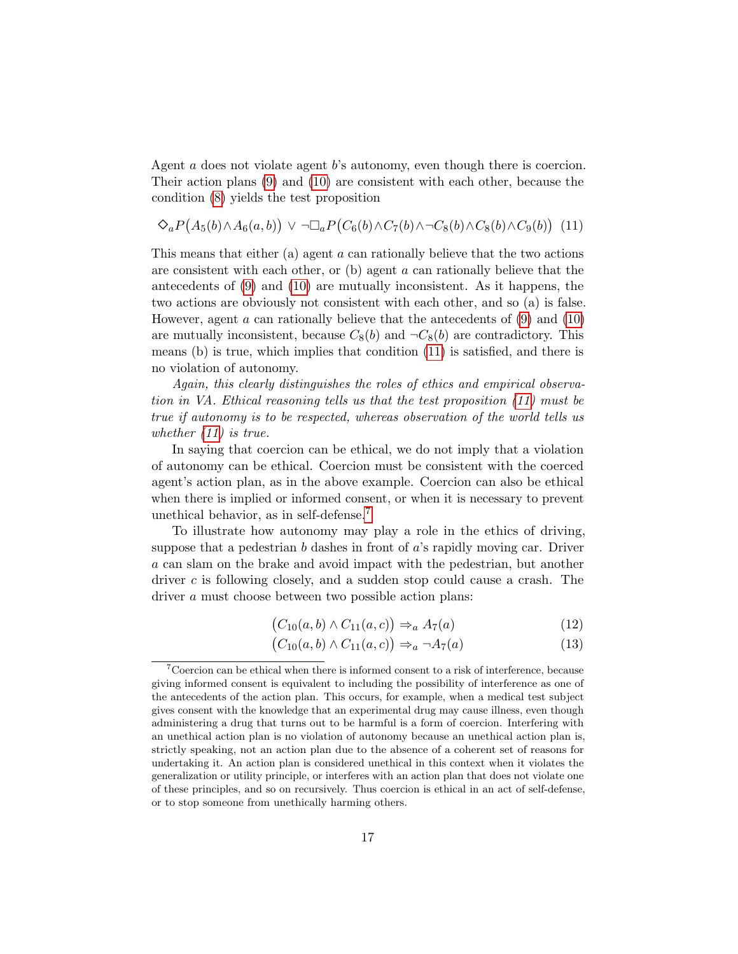Agent a does not violate agent b's autonomy, even though there is coercion. Their action plans [\(9\)](#page-15-0) and [\(10\)](#page-15-1) are consistent with each other, because the condition [\(8\)](#page-15-2) yields the test proposition

<span id="page-16-0"></span>
$$
\diamondsuit_a P\big(A_5(b)\wedge A_6(a,b)\big) \vee \neg \Box_a P\big(C_6(b)\wedge C_7(b)\wedge \neg C_8(b)\wedge C_8(b)\wedge C_9(b)\big) \tag{11}
$$

This means that either (a) agent a can rationally believe that the two actions are consistent with each other, or (b) agent a can rationally believe that the antecedents of [\(9\)](#page-15-0) and [\(10\)](#page-15-1) are mutually inconsistent. As it happens, the two actions are obviously not consistent with each other, and so (a) is false. However, agent  $\alpha$  can rationally believe that the antecedents of [\(9\)](#page-15-0) and [\(10\)](#page-15-1) are mutually inconsistent, because  $C_8(b)$  and  $\neg C_8(b)$  are contradictory. This means (b) is true, which implies that condition [\(11\)](#page-16-0) is satisfied, and there is no violation of autonomy.

Again, this clearly distinguishes the roles of ethics and empirical observation in VA. Ethical reasoning tells us that the test proposition [\(11\)](#page-16-0) must be true if autonomy is to be respected, whereas observation of the world tells us whether [\(11\)](#page-16-0) is true.

In saying that coercion can be ethical, we do not imply that a violation of autonomy can be ethical. Coercion must be consistent with the coerced agent's action plan, as in the above example. Coercion can also be ethical when there is implied or informed consent, or when it is necessary to prevent unethical behavior, as in self-defense.[7](#page-16-1)

To illustrate how autonomy may play a role in the ethics of driving, suppose that a pedestrian  $b$  dashes in front of  $a$ 's rapidly moving car. Driver a can slam on the brake and avoid impact with the pedestrian, but another driver c is following closely, and a sudden stop could cause a crash. The driver a must choose between two possible action plans:

<span id="page-16-2"></span>
$$
(C_{10}(a,b) \wedge C_{11}(a,c)) \Rightarrow_a A_7(a) \tag{12}
$$

<span id="page-16-3"></span>
$$
(C_{10}(a,b) \wedge C_{11}(a,c)) \Rightarrow_a \neg A_7(a) \tag{13}
$$

<span id="page-16-1"></span><sup>&</sup>lt;sup>7</sup>Coercion can be ethical when there is informed consent to a risk of interference, because giving informed consent is equivalent to including the possibility of interference as one of the antecedents of the action plan. This occurs, for example, when a medical test subject gives consent with the knowledge that an experimental drug may cause illness, even though administering a drug that turns out to be harmful is a form of coercion. Interfering with an unethical action plan is no violation of autonomy because an unethical action plan is, strictly speaking, not an action plan due to the absence of a coherent set of reasons for undertaking it. An action plan is considered unethical in this context when it violates the generalization or utility principle, or interferes with an action plan that does not violate one of these principles, and so on recursively. Thus coercion is ethical in an act of self-defense, or to stop someone from unethically harming others.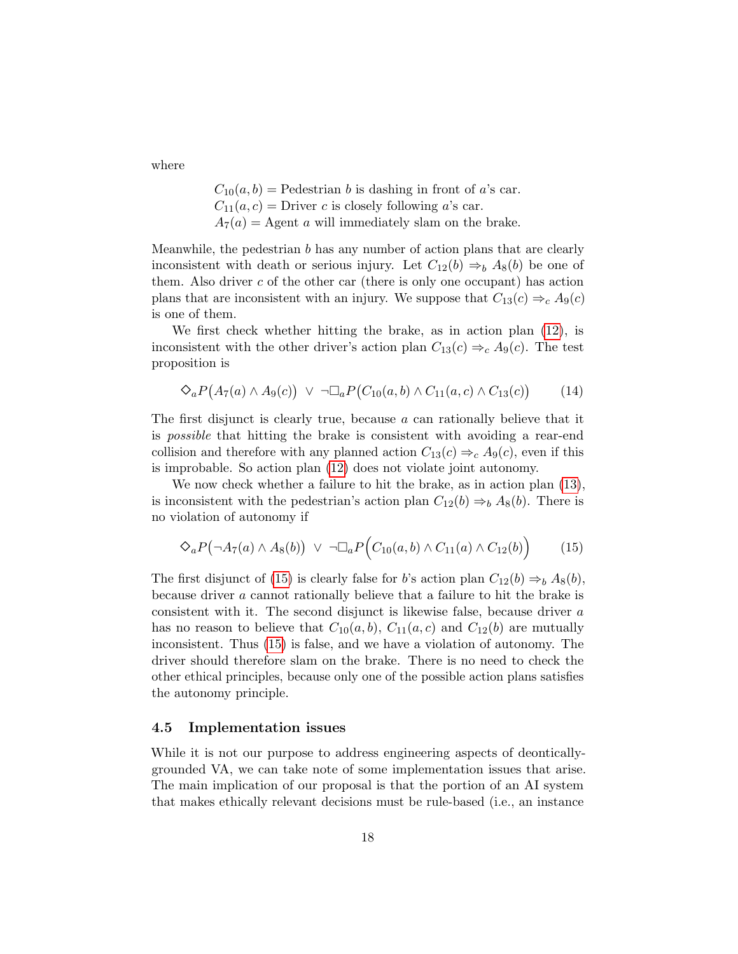where

 $C_{10}(a, b)$  = Pedestrian b is dashing in front of a's car.  $C_{11}(a, c)$  = Driver c is closely following a's car.  $A_7(a) =$  Agent a will immediately slam on the brake.

Meanwhile, the pedestrian  $b$  has any number of action plans that are clearly inconsistent with death or serious injury. Let  $C_{12}(b) \Rightarrow_b A_8(b)$  be one of them. Also driver  $c$  of the other car (there is only one occupant) has action plans that are inconsistent with an injury. We suppose that  $C_{13}(c) \Rightarrow_c A_9(c)$ is one of them.

We first check whether hitting the brake, as in action plan [\(12\)](#page-16-2), is inconsistent with the other driver's action plan  $C_{13}(c) \Rightarrow_c A_9(c)$ . The test proposition is

$$
\diamondsuit_a P\big(A_7(a) \wedge A_9(c)\big) \ \vee \ \neg \Box_a P\big(C_{10}(a,b) \wedge C_{11}(a,c) \wedge C_{13}(c)\big) \tag{14}
$$

The first disjunct is clearly true, because a can rationally believe that it is possible that hitting the brake is consistent with avoiding a rear-end collision and therefore with any planned action  $C_{13}(c) \Rightarrow_c A_9(c)$ , even if this is improbable. So action plan [\(12\)](#page-16-2) does not violate joint autonomy.

We now check whether a failure to hit the brake, as in action plan [\(13\)](#page-16-3), is inconsistent with the pedestrian's action plan  $C_{12}(b) \Rightarrow_b A_8(b)$ . There is no violation of autonomy if

<span id="page-17-0"></span>
$$
\bigotimes_{a} P\big(\neg A_{7}(a) \land A_{8}(b)\big) \lor \neg \Box_{a} P\big(C_{10}(a,b) \land C_{11}(a) \land C_{12}(b)\big) \tag{15}
$$

The first disjunct of [\(15\)](#page-17-0) is clearly false for b's action plan  $C_{12}(b) \Rightarrow_b A_8(b)$ , because driver a cannot rationally believe that a failure to hit the brake is consistent with it. The second disjunct is likewise false, because driver a has no reason to believe that  $C_{10}(a, b)$ ,  $C_{11}(a, c)$  and  $C_{12}(b)$  are mutually inconsistent. Thus [\(15\)](#page-17-0) is false, and we have a violation of autonomy. The driver should therefore slam on the brake. There is no need to check the other ethical principles, because only one of the possible action plans satisfies the autonomy principle.

#### 4.5 Implementation issues

While it is not our purpose to address engineering aspects of deonticallygrounded VA, we can take note of some implementation issues that arise. The main implication of our proposal is that the portion of an AI system that makes ethically relevant decisions must be rule-based (i.e., an instance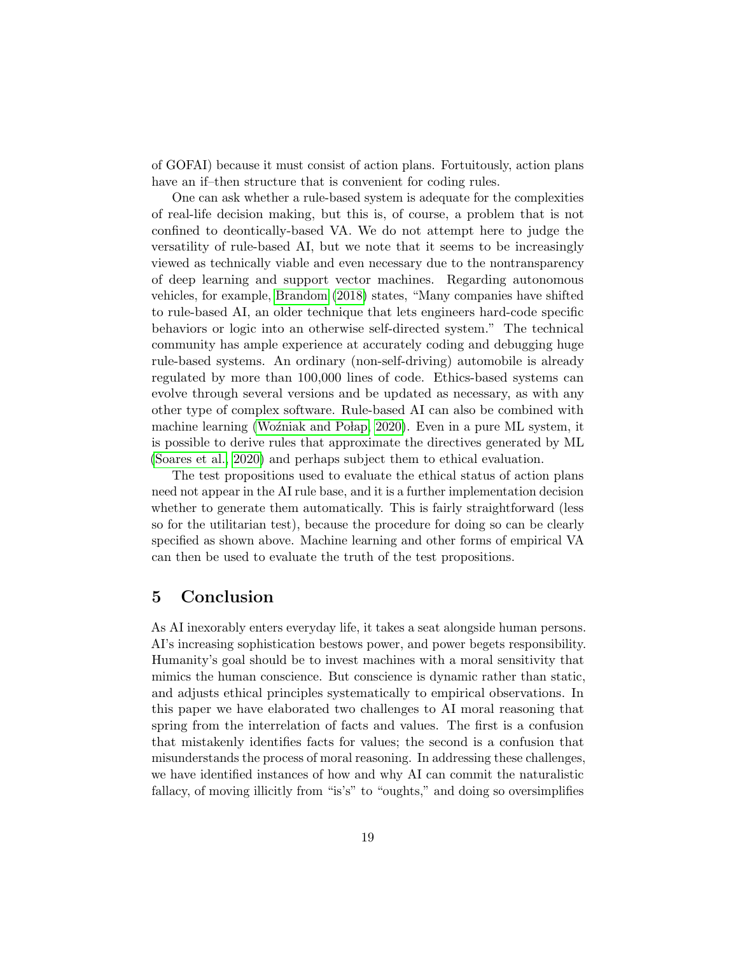of GOFAI) because it must consist of action plans. Fortuitously, action plans have an if-then structure that is convenient for coding rules.

One can ask whether a rule-based system is adequate for the complexities of real-life decision making, but this is, of course, a problem that is not confined to deontically-based VA. We do not attempt here to judge the versatility of rule-based AI, but we note that it seems to be increasingly viewed as technically viable and even necessary due to the nontransparency of deep learning and support vector machines. Regarding autonomous vehicles, for example, [Brandom](#page-21-12) [\(2018\)](#page-21-12) states, "Many companies have shifted to rule-based AI, an older technique that lets engineers hard-code specific behaviors or logic into an otherwise self-directed system." The technical community has ample experience at accurately coding and debugging huge rule-based systems. An ordinary (non-self-driving) automobile is already regulated by more than 100,000 lines of code. Ethics-based systems can evolve through several versions and be updated as necessary, as with any other type of complex software. Rule-based AI can also be combined with machine learning (Woźniak and Połap, 2020). Even in a pure ML system, it is possible to derive rules that approximate the directives generated by ML [\(Soares et al., 2020\)](#page-26-11) and perhaps subject them to ethical evaluation.

The test propositions used to evaluate the ethical status of action plans need not appear in the AI rule base, and it is a further implementation decision whether to generate them automatically. This is fairly straightforward (less so for the utilitarian test), because the procedure for doing so can be clearly specified as shown above. Machine learning and other forms of empirical VA can then be used to evaluate the truth of the test propositions.

## 5 Conclusion

As AI inexorably enters everyday life, it takes a seat alongside human persons. AI's increasing sophistication bestows power, and power begets responsibility. Humanity's goal should be to invest machines with a moral sensitivity that mimics the human conscience. But conscience is dynamic rather than static, and adjusts ethical principles systematically to empirical observations. In this paper we have elaborated two challenges to AI moral reasoning that spring from the interrelation of facts and values. The first is a confusion that mistakenly identifies facts for values; the second is a confusion that misunderstands the process of moral reasoning. In addressing these challenges, we have identified instances of how and why AI can commit the naturalistic fallacy, of moving illicitly from "is's" to "oughts," and doing so oversimplifies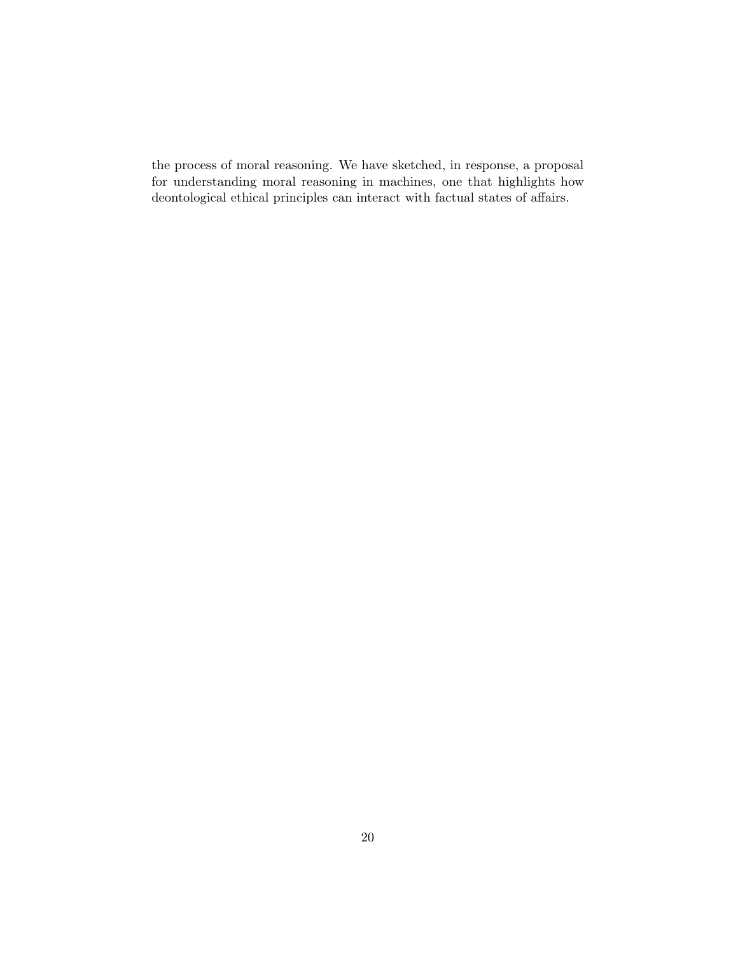the process of moral reasoning. We have sketched, in response, a proposal for understanding moral reasoning in machines, one that highlights how deontological ethical principles can interact with factual states of affairs.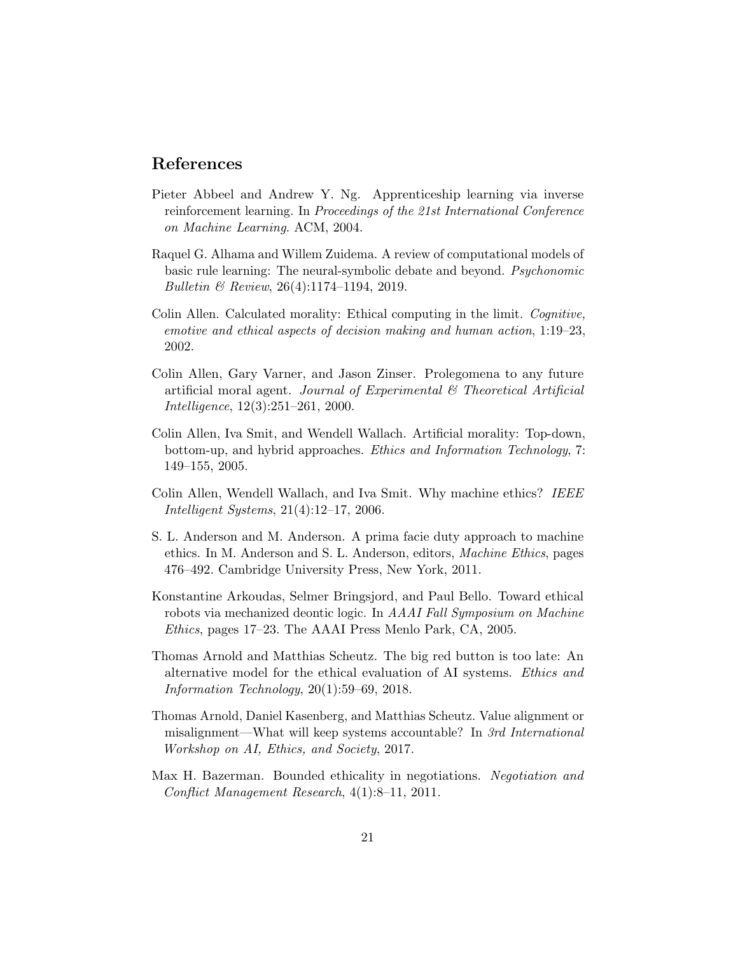## References

- <span id="page-20-6"></span>Pieter Abbeel and Andrew Y. Ng. Apprenticeship learning via inverse reinforcement learning. In Proceedings of the 21st International Conference on Machine Learning. ACM, 2004.
- <span id="page-20-10"></span>Raquel G. Alhama and Willem Zuidema. A review of computational models of basic rule learning: The neural-symbolic debate and beyond. Psychonomic Bulletin & Review, 26(4):1174–1194, 2019.
- <span id="page-20-3"></span>Colin Allen. Calculated morality: Ethical computing in the limit. Cognitive, emotive and ethical aspects of decision making and human action, 1:19–23, 2002.
- <span id="page-20-2"></span>Colin Allen, Gary Varner, and Jason Zinser. Prolegomena to any future artificial moral agent. Journal of Experimental & Theoretical Artificial Intelligence, 12(3):251–261, 2000.
- <span id="page-20-4"></span>Colin Allen, Iva Smit, and Wendell Wallach. Artificial morality: Top-down, bottom-up, and hybrid approaches. Ethics and Information Technology, 7: 149–155, 2005.
- <span id="page-20-5"></span>Colin Allen, Wendell Wallach, and Iva Smit. Why machine ethics? IEEE Intelligent Systems, 21(4):12–17, 2006.
- <span id="page-20-9"></span>S. L. Anderson and M. Anderson. A prima facie duty approach to machine ethics. In M. Anderson and S. L. Anderson, editors, Machine Ethics, pages 476–492. Cambridge University Press, New York, 2011.
- <span id="page-20-7"></span>Konstantine Arkoudas, Selmer Bringsjord, and Paul Bello. Toward ethical robots via mechanized deontic logic. In AAAI Fall Symposium on Machine Ethics, pages 17–23. The AAAI Press Menlo Park, CA, 2005.
- <span id="page-20-1"></span>Thomas Arnold and Matthias Scheutz. The big red button is too late: An alternative model for the ethical evaluation of AI systems. Ethics and Information Technology, 20(1):59–69, 2018.
- <span id="page-20-0"></span>Thomas Arnold, Daniel Kasenberg, and Matthias Scheutz. Value alignment or misalignment—What will keep systems accountable? In 3rd International Workshop on AI, Ethics, and Society, 2017.
- <span id="page-20-8"></span>Max H. Bazerman. Bounded ethicality in negotiations. Negotiation and Conflict Management Research, 4(1):8–11, 2011.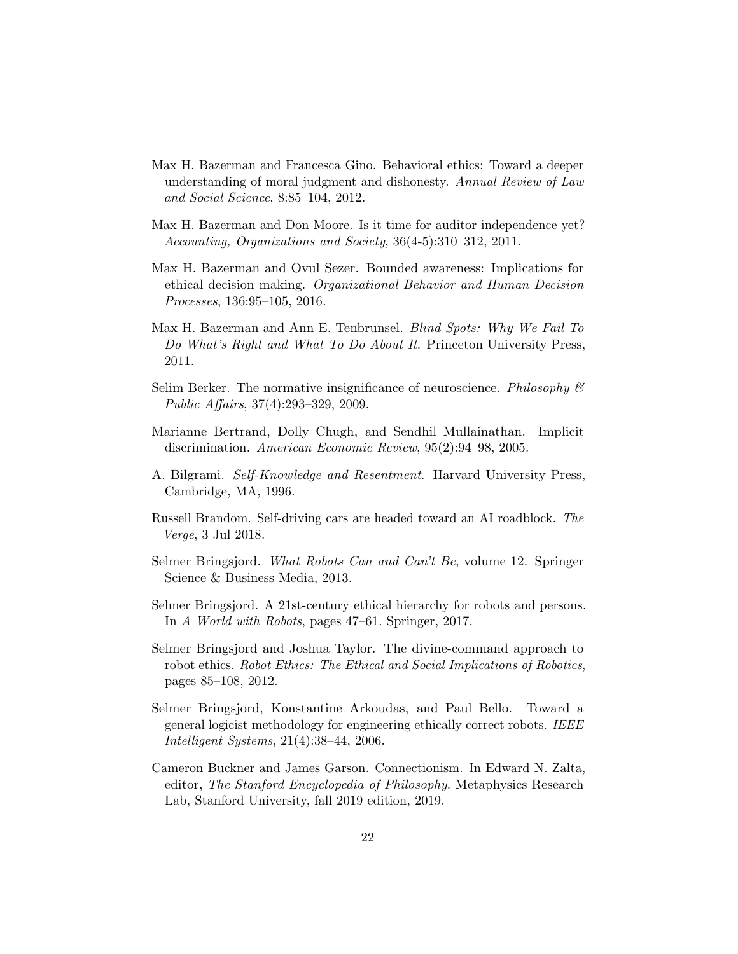- <span id="page-21-8"></span>Max H. Bazerman and Francesca Gino. Behavioral ethics: Toward a deeper understanding of moral judgment and dishonesty. Annual Review of Law and Social Science, 8:85–104, 2012.
- <span id="page-21-7"></span>Max H. Bazerman and Don Moore. Is it time for auditor independence yet? Accounting, Organizations and Society, 36(4-5):310–312, 2011.
- <span id="page-21-9"></span>Max H. Bazerman and Ovul Sezer. Bounded awareness: Implications for ethical decision making. Organizational Behavior and Human Decision Processes, 136:95–105, 2016.
- <span id="page-21-4"></span>Max H. Bazerman and Ann E. Tenbrunsel. *Blind Spots: Why We Fail To* Do What's Right and What To Do About It. Princeton University Press, 2011.
- <span id="page-21-10"></span>Selim Berker. The normative insignificance of neuroscience. Philosophy  $\mathcal{B}$ Public Affairs, 37(4):293–329, 2009.
- <span id="page-21-6"></span>Marianne Bertrand, Dolly Chugh, and Sendhil Mullainathan. Implicit discrimination. American Economic Review, 95(2):94–98, 2005.
- <span id="page-21-11"></span>A. Bilgrami. Self-Knowledge and Resentment. Harvard University Press, Cambridge, MA, 1996.
- <span id="page-21-12"></span>Russell Brandom. Self-driving cars are headed toward an AI roadblock. The Verge, 3 Jul 2018.
- <span id="page-21-0"></span>Selmer Bringsjord. What Robots Can and Can't Be, volume 12. Springer Science & Business Media, 2013.
- <span id="page-21-3"></span>Selmer Bringsjord. A 21st-century ethical hierarchy for robots and persons. In A World with Robots, pages 47–61. Springer, 2017.
- <span id="page-21-2"></span>Selmer Bringsjord and Joshua Taylor. The divine-command approach to robot ethics. Robot Ethics: The Ethical and Social Implications of Robotics, pages 85–108, 2012.
- <span id="page-21-1"></span>Selmer Bringsjord, Konstantine Arkoudas, and Paul Bello. Toward a general logicist methodology for engineering ethically correct robots. IEEE Intelligent Systems, 21(4):38–44, 2006.
- <span id="page-21-5"></span>Cameron Buckner and James Garson. Connectionism. In Edward N. Zalta, editor, The Stanford Encyclopedia of Philosophy. Metaphysics Research Lab, Stanford University, fall 2019 edition, 2019.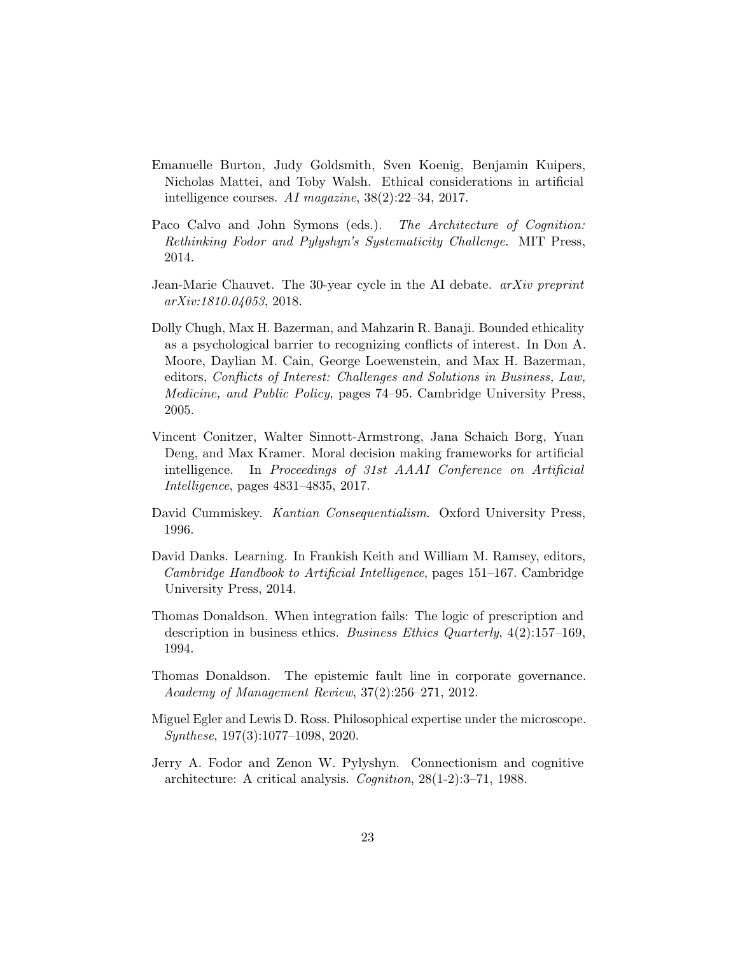- <span id="page-22-0"></span>Emanuelle Burton, Judy Goldsmith, Sven Koenig, Benjamin Kuipers, Nicholas Mattei, and Toby Walsh. Ethical considerations in artificial intelligence courses. AI magazine, 38(2):22–34, 2017.
- <span id="page-22-7"></span>Paco Calvo and John Symons (eds.). The Architecture of Cognition: Rethinking Fodor and Pylyshyn's Systematicity Challenge. MIT Press, 2014.
- <span id="page-22-6"></span>Jean-Marie Chauvet. The 30-year cycle in the AI debate. *arXiv preprint* arXiv:1810.04053, 2018.
- <span id="page-22-4"></span>Dolly Chugh, Max H. Bazerman, and Mahzarin R. Banaji. Bounded ethicality as a psychological barrier to recognizing conflicts of interest. In Don A. Moore, Daylian M. Cain, George Loewenstein, and Max H. Bazerman, editors, Conflicts of Interest: Challenges and Solutions in Business, Law, Medicine, and Public Policy, pages 74–95. Cambridge University Press, 2005.
- <span id="page-22-9"></span>Vincent Conitzer, Walter Sinnott-Armstrong, Jana Schaich Borg, Yuan Deng, and Max Kramer. Moral decision making frameworks for artificial intelligence. In Proceedings of 31st AAAI Conference on Artificial Intelligence, pages 4831–4835, 2017.
- <span id="page-22-10"></span>David Cummiskey. Kantian Consequentialism. Oxford University Press, 1996.
- <span id="page-22-1"></span>David Danks. Learning. In Frankish Keith and William M. Ramsey, editors, Cambridge Handbook to Artificial Intelligence, pages 151–167. Cambridge University Press, 2014.
- <span id="page-22-2"></span>Thomas Donaldson. When integration fails: The logic of prescription and description in business ethics. Business Ethics Quarterly, 4(2):157–169, 1994.
- <span id="page-22-3"></span>Thomas Donaldson. The epistemic fault line in corporate governance. Academy of Management Review, 37(2):256–271, 2012.
- <span id="page-22-5"></span>Miguel Egler and Lewis D. Ross. Philosophical expertise under the microscope. Synthese, 197(3):1077–1098, 2020.
- <span id="page-22-8"></span>Jerry A. Fodor and Zenon W. Pylyshyn. Connectionism and cognitive architecture: A critical analysis. Cognition, 28(1-2):3–71, 1988.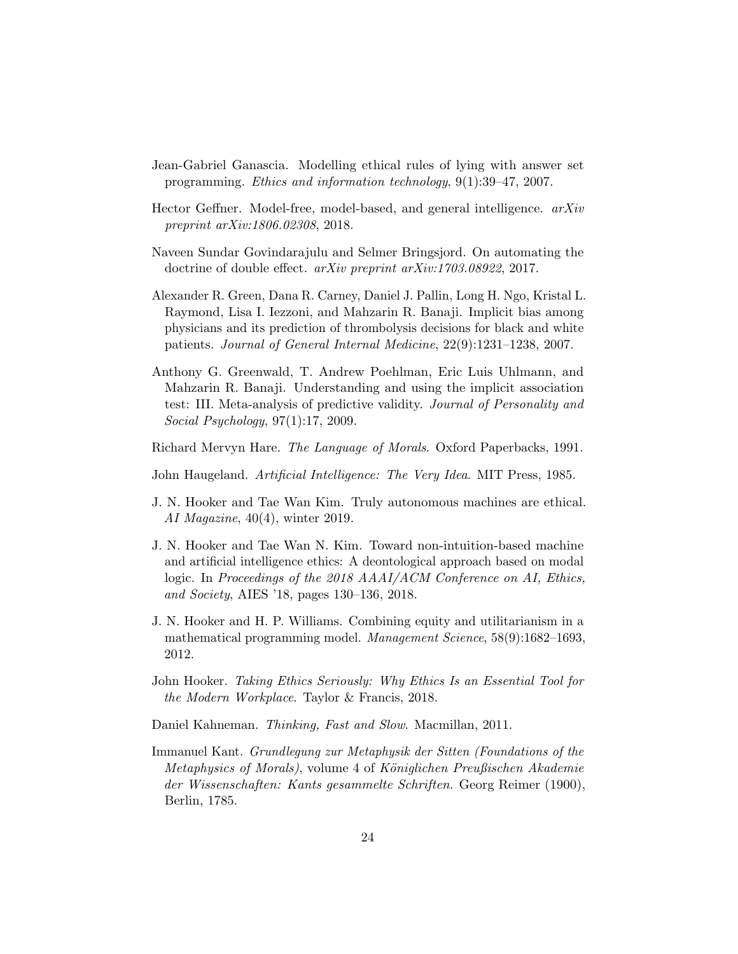- <span id="page-23-2"></span>Jean-Gabriel Ganascia. Modelling ethical rules of lying with answer set programming. Ethics and information technology, 9(1):39–47, 2007.
- <span id="page-23-7"></span>Hector Geffner. Model-free, model-based, and general intelligence. arXiv preprint arXiv:1806.02308, 2018.
- <span id="page-23-0"></span>Naveen Sundar Govindarajulu and Selmer Bringsjord. On automating the doctrine of double effect. arXiv preprint arXiv:1703.08922, 2017.
- <span id="page-23-3"></span>Alexander R. Green, Dana R. Carney, Daniel J. Pallin, Long H. Ngo, Kristal L. Raymond, Lisa I. Iezzoni, and Mahzarin R. Banaji. Implicit bias among physicians and its prediction of thrombolysis decisions for black and white patients. Journal of General Internal Medicine, 22(9):1231–1238, 2007.
- <span id="page-23-4"></span>Anthony G. Greenwald, T. Andrew Poehlman, Eric Luis Uhlmann, and Mahzarin R. Banaji. Understanding and using the implicit association test: III. Meta-analysis of predictive validity. Journal of Personality and Social Psychology, 97(1):17, 2009.

<span id="page-23-8"></span>Richard Mervyn Hare. The Language of Morals. Oxford Paperbacks, 1991.

<span id="page-23-5"></span>John Haugeland. Artificial Intelligence: The Very Idea. MIT Press, 1985.

- <span id="page-23-10"></span>J. N. Hooker and Tae Wan Kim. Truly autonomous machines are ethical. AI Magazine,  $40(4)$ , winter 2019.
- <span id="page-23-1"></span>J. N. Hooker and Tae Wan N. Kim. Toward non-intuition-based machine and artificial intelligence ethics: A deontological approach based on modal logic. In Proceedings of the 2018 AAAI/ACM Conference on AI, Ethics, and Society, AIES '18, pages 130–136, 2018.
- <span id="page-23-11"></span>J. N. Hooker and H. P. Williams. Combining equity and utilitarianism in a mathematical programming model. Management Science, 58(9):1682–1693, 2012.
- <span id="page-23-12"></span>John Hooker. Taking Ethics Seriously: Why Ethics Is an Essential Tool for the Modern Workplace. Taylor & Francis, 2018.
- <span id="page-23-6"></span>Daniel Kahneman. Thinking, Fast and Slow. Macmillan, 2011.
- <span id="page-23-9"></span>Immanuel Kant. Grundlegung zur Metaphysik der Sitten (Foundations of the Metaphysics of Morals), volume 4 of Königlichen Preußischen Akademie der Wissenschaften: Kants gesammelte Schriften. Georg Reimer (1900), Berlin, 1785.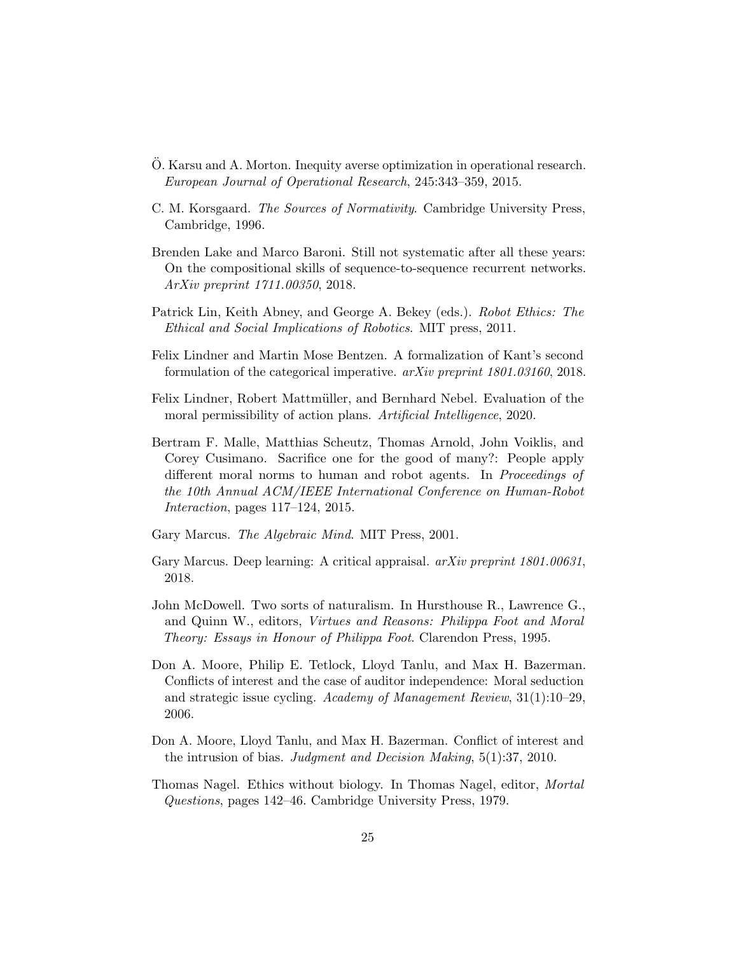- <span id="page-24-11"></span>O. Karsu and A. Morton. Inequity averse optimization in operational research. ¨ European Journal of Operational Research, 245:343–359, 2015.
- <span id="page-24-10"></span>C. M. Korsgaard. The Sources of Normativity. Cambridge University Press, Cambridge, 1996.
- <span id="page-24-6"></span>Brenden Lake and Marco Baroni. Still not systematic after all these years: On the compositional skills of sequence-to-sequence recurrent networks. ArXiv preprint 1711.00350, 2018.
- <span id="page-24-0"></span>Patrick Lin, Keith Abney, and George A. Bekey (eds.). Robot Ethics: The Ethical and Social Implications of Robotics. MIT press, 2011.
- <span id="page-24-2"></span>Felix Lindner and Martin Mose Bentzen. A formalization of Kant's second formulation of the categorical imperative.  $a\overline{r}Xiv$  preprint 1801.03160, 2018.
- <span id="page-24-3"></span>Felix Lindner, Robert Mattmüller, and Bernhard Nebel. Evaluation of the moral permissibility of action plans. Artificial Intelligence, 2020.
- <span id="page-24-12"></span>Bertram F. Malle, Matthias Scheutz, Thomas Arnold, John Voiklis, and Corey Cusimano. Sacrifice one for the good of many?: People apply different moral norms to human and robot agents. In *Proceedings of* the 10th Annual ACM/IEEE International Conference on Human-Robot Interaction, pages 117–124, 2015.
- <span id="page-24-7"></span>Gary Marcus. The Algebraic Mind. MIT Press, 2001.
- <span id="page-24-1"></span>Gary Marcus. Deep learning: A critical appraisal. *arXiv preprint 1801.00631*, 2018.
- <span id="page-24-9"></span>John McDowell. Two sorts of naturalism. In Hursthouse R., Lawrence G., and Quinn W., editors, Virtues and Reasons: Philippa Foot and Moral Theory: Essays in Honour of Philippa Foot. Clarendon Press, 1995.
- <span id="page-24-4"></span>Don A. Moore, Philip E. Tetlock, Lloyd Tanlu, and Max H. Bazerman. Conflicts of interest and the case of auditor independence: Moral seduction and strategic issue cycling. Academy of Management Review, 31(1):10–29, 2006.
- <span id="page-24-5"></span>Don A. Moore, Lloyd Tanlu, and Max H. Bazerman. Conflict of interest and the intrusion of bias. Judgment and Decision Making, 5(1):37, 2010.
- <span id="page-24-8"></span>Thomas Nagel. Ethics without biology. In Thomas Nagel, editor, Mortal Questions, pages 142–46. Cambridge University Press, 1979.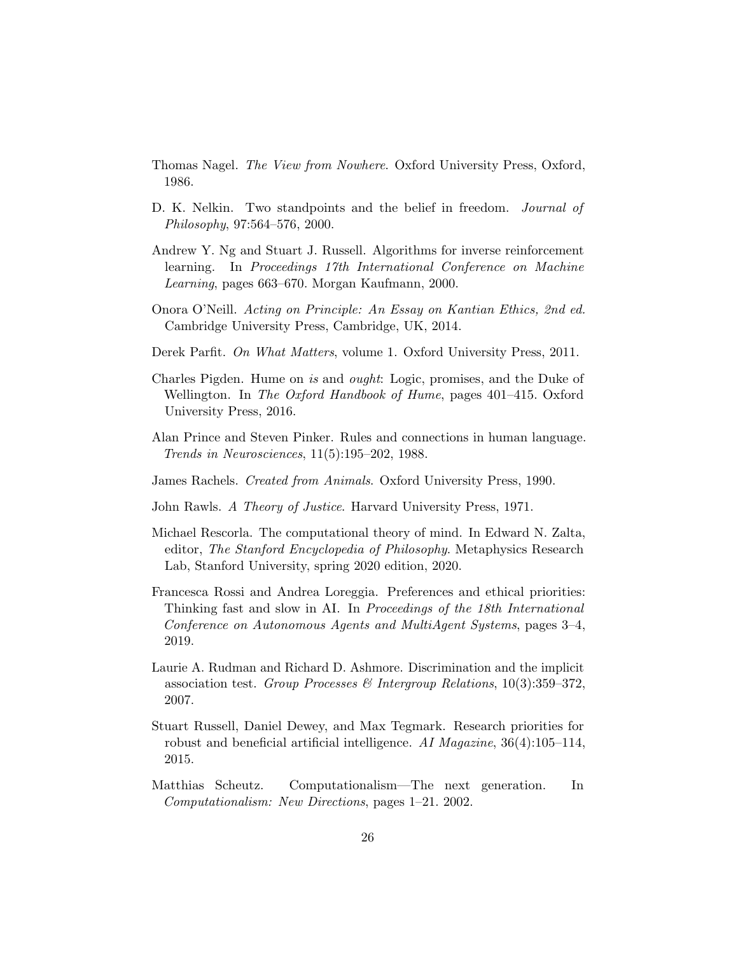- <span id="page-25-10"></span>Thomas Nagel. The View from Nowhere. Oxford University Press, Oxford, 1986.
- <span id="page-25-12"></span>D. K. Nelkin. Two standpoints and the belief in freedom. *Journal of* Philosophy, 97:564–576, 2000.
- <span id="page-25-1"></span>Andrew Y. Ng and Stuart J. Russell. Algorithms for inverse reinforcement learning. In Proceedings 17th International Conference on Machine Learning, pages 663–670. Morgan Kaufmann, 2000.
- <span id="page-25-11"></span>Onora O'Neill. Acting on Principle: An Essay on Kantian Ethics, 2nd ed. Cambridge University Press, Cambridge, UK, 2014.
- <span id="page-25-3"></span>Derek Parfit. On What Matters, volume 1. Oxford University Press, 2011.
- <span id="page-25-4"></span>Charles Pigden. Hume on is and ought: Logic, promises, and the Duke of Wellington. In The Oxford Handbook of Hume, pages 401–415. Oxford University Press, 2016.
- <span id="page-25-2"></span>Alan Prince and Steven Pinker. Rules and connections in human language. Trends in Neurosciences, 11(5):195–202, 1988.
- <span id="page-25-9"></span>James Rachels. Created from Animals. Oxford University Press, 1990.
- <span id="page-25-13"></span>John Rawls. A Theory of Justice. Harvard University Press, 1971.
- <span id="page-25-6"></span>Michael Rescorla. The computational theory of mind. In Edward N. Zalta, editor, The Stanford Encyclopedia of Philosophy. Metaphysics Research Lab, Stanford University, spring 2020 edition, 2020.
- <span id="page-25-8"></span>Francesca Rossi and Andrea Loreggia. Preferences and ethical priorities: Thinking fast and slow in AI. In Proceedings of the 18th International Conference on Autonomous Agents and MultiAgent Systems, pages 3–4, 2019.
- <span id="page-25-5"></span>Laurie A. Rudman and Richard D. Ashmore. Discrimination and the implicit association test. Group Processes & Intergroup Relations,  $10(3):359-372$ , 2007.
- <span id="page-25-0"></span>Stuart Russell, Daniel Dewey, and Max Tegmark. Research priorities for robust and beneficial artificial intelligence. AI Magazine,  $36(4):105-114$ , 2015.
- <span id="page-25-7"></span>Matthias Scheutz. Computationalism—The next generation. In Computationalism: New Directions, pages 1–21. 2002.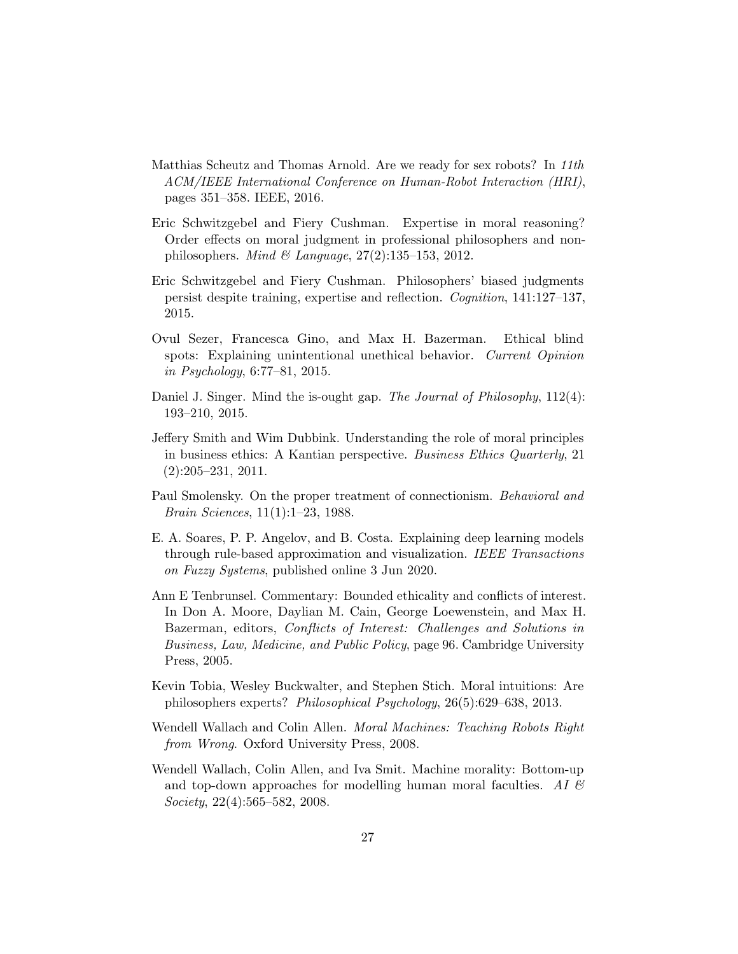- <span id="page-26-1"></span>Matthias Scheutz and Thomas Arnold. Are we ready for sex robots? In 11th ACM/IEEE International Conference on Human-Robot Interaction (HRI), pages 351–358. IEEE, 2016.
- <span id="page-26-5"></span>Eric Schwitzgebel and Fiery Cushman. Expertise in moral reasoning? Order effects on moral judgment in professional philosophers and nonphilosophers. Mind & Language,  $27(2):135-153$ , 2012.
- <span id="page-26-7"></span>Eric Schwitzgebel and Fiery Cushman. Philosophers' biased judgments persist despite training, expertise and reflection. Cognition, 141:127–137, 2015.
- <span id="page-26-8"></span>Ovul Sezer, Francesca Gino, and Max H. Bazerman. Ethical blind spots: Explaining unintentional unethical behavior. Current Opinion in Psychology, 6:77–81, 2015.
- <span id="page-26-3"></span>Daniel J. Singer. Mind the is-ought gap. The Journal of Philosophy, 112(4): 193–210, 2015.
- <span id="page-26-10"></span>Jeffery Smith and Wim Dubbink. Understanding the role of moral principles in business ethics: A Kantian perspective. Business Ethics Quarterly, 21 (2):205–231, 2011.
- <span id="page-26-9"></span>Paul Smolensky. On the proper treatment of connectionism. Behavioral and Brain Sciences, 11(1):1–23, 1988.
- <span id="page-26-11"></span>E. A. Soares, P. P. Angelov, and B. Costa. Explaining deep learning models through rule-based approximation and visualization. IEEE Transactions on Fuzzy Systems, published online 3 Jun 2020.
- <span id="page-26-4"></span>Ann E Tenbrunsel. Commentary: Bounded ethicality and conflicts of interest. In Don A. Moore, Daylian M. Cain, George Loewenstein, and Max H. Bazerman, editors, Conflicts of Interest: Challenges and Solutions in Business, Law, Medicine, and Public Policy, page 96. Cambridge University Press, 2005.
- <span id="page-26-6"></span>Kevin Tobia, Wesley Buckwalter, and Stephen Stich. Moral intuitions: Are philosophers experts? Philosophical Psychology, 26(5):629–638, 2013.
- <span id="page-26-0"></span>Wendell Wallach and Colin Allen. *Moral Machines: Teaching Robots Right* from Wrong. Oxford University Press, 2008.
- <span id="page-26-2"></span>Wendell Wallach, Colin Allen, and Iva Smit. Machine morality: Bottom-up and top-down approaches for modelling human moral faculties. AI  $\mathcal{B}$ Society, 22(4):565–582, 2008.